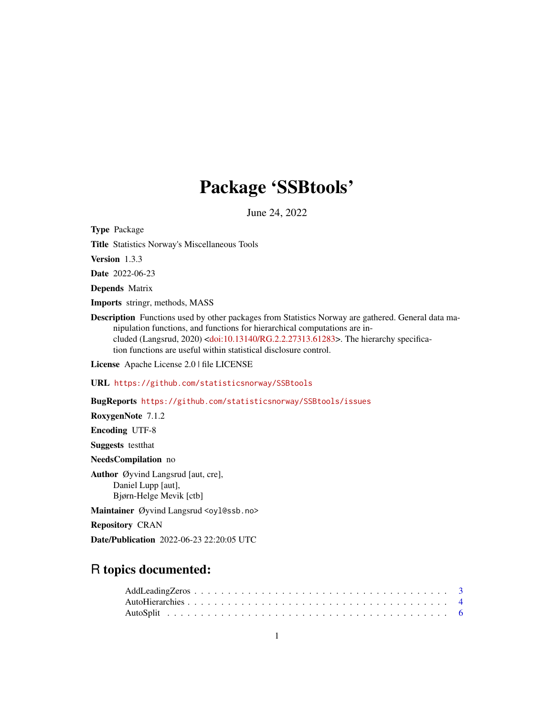# Package 'SSBtools'

June 24, 2022

<span id="page-0-0"></span>Type Package

Title Statistics Norway's Miscellaneous Tools

Version 1.3.3

Date 2022-06-23

Depends Matrix

Imports stringr, methods, MASS

Description Functions used by other packages from Statistics Norway are gathered. General data manipulation functions, and functions for hierarchical computations are included (Langsrud, 2020) [<doi:10.13140/RG.2.2.27313.61283>](https://doi.org/10.13140/RG.2.2.27313.61283). The hierarchy specification functions are useful within statistical disclosure control.

License Apache License 2.0 | file LICENSE

URL <https://github.com/statisticsnorway/SSBtools>

BugReports <https://github.com/statisticsnorway/SSBtools/issues>

RoxygenNote 7.1.2

Encoding UTF-8

Suggests testthat

NeedsCompilation no

Author Øyvind Langsrud [aut, cre], Daniel Lupp [aut], Bjørn-Helge Mevik [ctb]

Maintainer Øyvind Langsrud <oyl@ssb.no>

Repository CRAN

Date/Publication 2022-06-23 22:20:05 UTC

## R topics documented: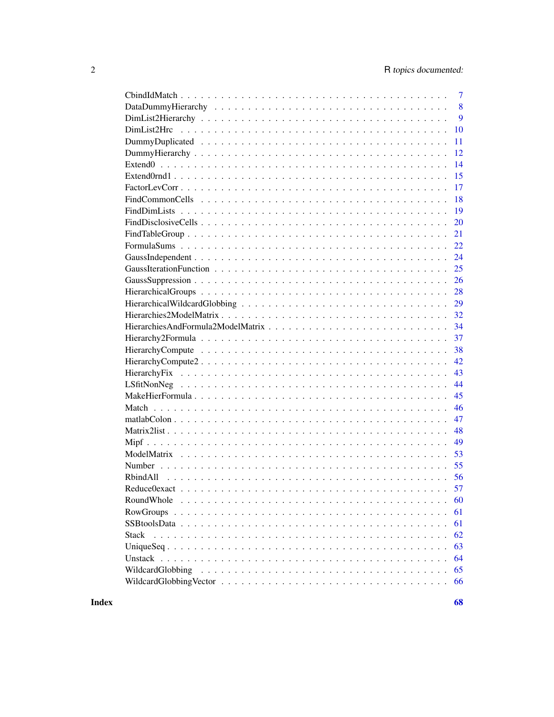| $\overline{7}$                                                                                                      |
|---------------------------------------------------------------------------------------------------------------------|
| 8                                                                                                                   |
| 9                                                                                                                   |
| 10                                                                                                                  |
| 11                                                                                                                  |
| 12                                                                                                                  |
| 14                                                                                                                  |
| 15                                                                                                                  |
| 17                                                                                                                  |
| 18                                                                                                                  |
| 19                                                                                                                  |
| 20                                                                                                                  |
| 21                                                                                                                  |
| 22                                                                                                                  |
| 24                                                                                                                  |
| 25                                                                                                                  |
| 26                                                                                                                  |
| 28                                                                                                                  |
|                                                                                                                     |
| 32                                                                                                                  |
| 34                                                                                                                  |
| 37                                                                                                                  |
|                                                                                                                     |
| 38                                                                                                                  |
| 42                                                                                                                  |
| 43                                                                                                                  |
| 44                                                                                                                  |
| 45                                                                                                                  |
| 46                                                                                                                  |
| 47                                                                                                                  |
| 48                                                                                                                  |
| 49                                                                                                                  |
| 53                                                                                                                  |
| 55                                                                                                                  |
|                                                                                                                     |
|                                                                                                                     |
| RoundWhole<br>60                                                                                                    |
| 61                                                                                                                  |
| 61                                                                                                                  |
| 62<br>Stack                                                                                                         |
| 63                                                                                                                  |
| 64                                                                                                                  |
| 65<br>WildcardGlobbing                                                                                              |
| WildcardGlobbing Vector $\ldots \ldots \ldots \ldots \ldots \ldots \ldots \ldots \ldots \ldots \ldots \ldots$<br>66 |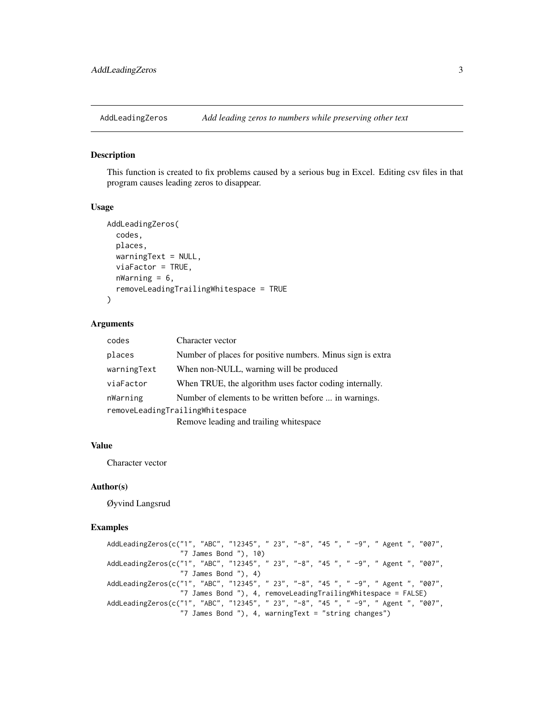<span id="page-2-0"></span>

#### Description

This function is created to fix problems caused by a serious bug in Excel. Editing csv files in that program causes leading zeros to disappear.

#### Usage

```
AddLeadingZeros(
  codes,
 places,
 warningText = NULL,
  viaFactor = TRUE,
 nWarning = 6,
  removeLeadingTrailingWhitespace = TRUE
)
```
#### Arguments

| codes                           | Character vector                                           |  |  |  |
|---------------------------------|------------------------------------------------------------|--|--|--|
| places                          | Number of places for positive numbers. Minus sign is extra |  |  |  |
| warningText                     | When non-NULL, warning will be produced                    |  |  |  |
| viaFactor                       | When TRUE, the algorithm uses factor coding internally.    |  |  |  |
| nWarning                        | Number of elements to be written before  in warnings.      |  |  |  |
| removeLeadingTrailingWhitespace |                                                            |  |  |  |
|                                 | Damaya loading and trailing whitespace                     |  |  |  |

Remove leading and trailing whitespace

### Value

Character vector

#### Author(s)

Øyvind Langsrud

```
AddLeadingZeros(c("1", "ABC", "12345", " 23", "-8", "45 ", " -9", " Agent ", "007",
                  "7 James Bond "), 10)
AddLeadingZeros(c("1", "ABC", "12345", " 23", "-8", "45 ", " -9", " Agent ", "007",
                  "7 James Bond "), 4)
AddLeadingZeros(c("1", "ABC", "12345", " 23", "-8", "45 ", " -9", " Agent ", "007",
                  "7 James Bond "), 4, removeLeadingTrailingWhitespace = FALSE)
AddLeadingZeros(c("1", "ABC", "12345", " 23", "-8", "45 ", " -9", " Agent ", "007",
                  "7 James Bond "), 4, warningText = "string changes")
```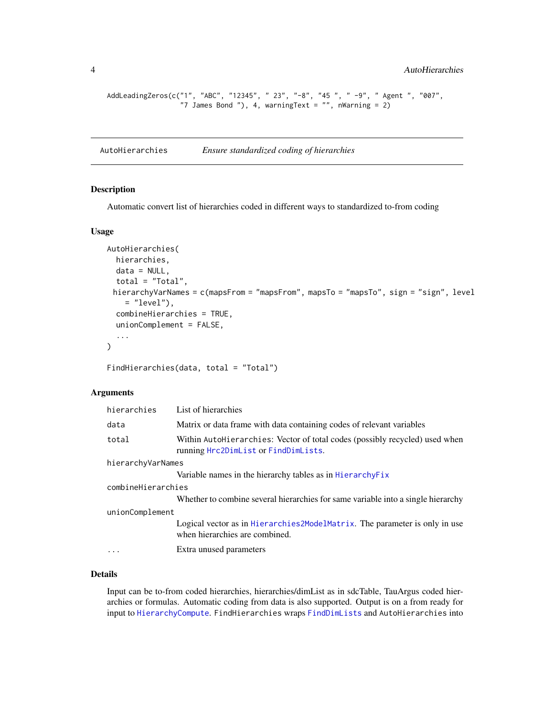```
AddLeadingZeros(c("1", "ABC", "12345", " 23", "-8", "45 ", " -9", " Agent ", "007",
                  "7 James Bond "), 4, warningText = "", nWarning = 2)
```
<span id="page-3-1"></span>AutoHierarchies *Ensure standardized coding of hierarchies*

#### Description

Automatic convert list of hierarchies coded in different ways to standardized to-from coding

#### Usage

```
AutoHierarchies(
 hierarchies,
 data = NULL,
  total = "Total",
 hierarchyVarNames = c(mapsFrom = "mapsFrom", mapsTo = "mapsTo", sign = "sign", level
    = "level"),
  combineHierarchies = TRUE,
  unionComplement = FALSE,
  ...
\mathcal{L}
```
FindHierarchies(data, total = "Total")

### Arguments

| hierarchies        | List of hierarchies                                                                                                 |
|--------------------|---------------------------------------------------------------------------------------------------------------------|
| data               | Matrix or data frame with data containing codes of relevant variables                                               |
| total              | Within AutoHierarchies: Vector of total codes (possibly recycled) used when<br>running Hrc2DimList or FindDimLists. |
| hierarchyVarNames  |                                                                                                                     |
|                    | Variable names in the hierarchy tables as in Hierarchy Fix                                                          |
| combineHierarchies |                                                                                                                     |
|                    | Whether to combine several hierarchies for same variable into a single hierarchy                                    |
| unionComplement    |                                                                                                                     |
|                    | Logical vector as in Hierarchies 2ModelMatrix. The parameter is only in use<br>when hierarchies are combined.       |
| $\cdots$           | Extra unused parameters                                                                                             |

### Details

Input can be to-from coded hierarchies, hierarchies/dimList as in sdcTable, TauArgus coded hierarchies or formulas. Automatic coding from data is also supported. Output is on a from ready for input to [HierarchyCompute](#page-37-1). FindHierarchies wraps [FindDimLists](#page-18-1) and AutoHierarchies into

<span id="page-3-0"></span>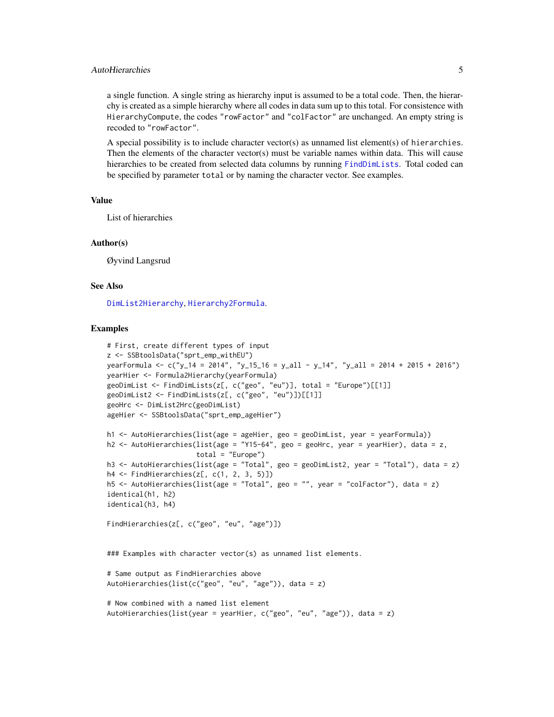### <span id="page-4-0"></span>AutoHierarchies 5

a single function. A single string as hierarchy input is assumed to be a total code. Then, the hierarchy is created as a simple hierarchy where all codes in data sum up to this total. For consistence with HierarchyCompute, the codes "rowFactor" and "colFactor" are unchanged. An empty string is recoded to "rowFactor".

A special possibility is to include character vector(s) as unnamed list element(s) of hierarchies. Then the elements of the character vector(s) must be variable names within data. This will cause hierarchies to be created from selected data columns by running [FindDimLists](#page-18-1). Total coded can be specified by parameter total or by naming the character vector. See examples.

### Value

List of hierarchies

#### Author(s)

Øyvind Langsrud

#### See Also

[DimList2Hierarchy](#page-8-1), [Hierarchy2Formula](#page-36-1).

```
# First, create different types of input
z <- SSBtoolsData("sprt_emp_withEU")
yearFormula <- c("y_14 = 2014", "y_15_16 = y_all - y_14", "y_all = 2014 + 2015 + 2016")
yearHier <- Formula2Hierarchy(yearFormula)
geoDimList \leq FindDimLists(z[, c("geo", "eu")], total = "Europe")[[1]]
geoDimList2 <- FindDimLists(z[, c("geo", "eu")])[[1]]
geoHrc <- DimList2Hrc(geoDimList)
ageHier <- SSBtoolsData("sprt_emp_ageHier")
h1 <- AutoHierarchies(list(age = ageHier, geo = geoDimList, year = yearFormula))
h2 <- AutoHierarchies(list(age = "Y15-64", geo = geoHrc, year = yearHier), data = z,
                      total = "Europe")h3 <- AutoHierarchies(list(age = "Total", geo = geoDimList2, year = "Total"), data = z)
h4 <- FindHierarchies(z[, c(1, 2, 3, 5)])
h5 <- AutoHierarchies(list(age = "Total", geo = "", year = "colFactor"), data = z)
identical(h1, h2)
identical(h3, h4)
FindHierarchies(z[, c("geo", "eu", "age")])
### Examples with character vector(s) as unnamed list elements.
# Same output as FindHierarchies above
AutoHierarchies(list(c("geo", "eu", "age")), data = z)
# Now combined with a named list element
AutoHierarchies(list(year = yearHier, c("geo", "eu", "age")), data = z)
```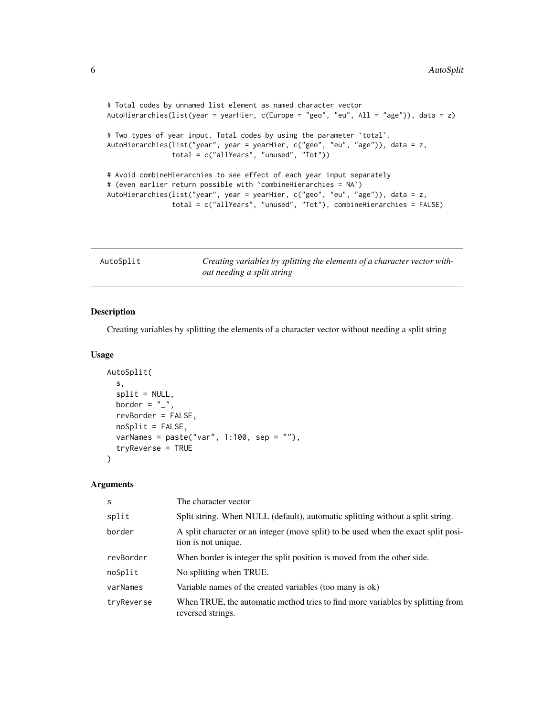```
# Total codes by unnamed list element as named character vector
AutoHierarchies(list(year = yearHier, c(Europe = "geo", "eu", All = "age")), data = z)
# Two types of year input. Total codes by using the parameter `total`.
AutoHierarchies(list("year", year = yearHier, c("geo", "eu", "age")), data = z,
                total = c("allYears", "unused", "Tot"))
# Avoid combineHierarchies to see effect of each year input separately
# (even earlier return possible with `combineHierarchies = NA`)
AutoHierarchies(list("year", year = yearHier, c("geo", "eu", "age")), data = z,
                total = c("allYears", "unused", "Tot"), combineHierarchies = FALSE)
```

| AutoSplit | Creating variables by splitting the elements of a character vector with- |
|-----------|--------------------------------------------------------------------------|
|           | out needing a split string                                               |

### Description

Creating variables by splitting the elements of a character vector without needing a split string

### Usage

```
AutoSplit(
  s,
  split = NULL,border = "_",
  revBorder = FALSE,
 noSplit = FALSE,varNames = paste("var", 1:100, sep = ""),
  tryReverse = TRUE
\lambda
```
#### Arguments

| S          | The character vector                                                                                      |
|------------|-----------------------------------------------------------------------------------------------------------|
| split      | Split string. When NULL (default), automatic splitting without a split string.                            |
| border     | A split character or an integer (move split) to be used when the exact split posi-<br>tion is not unique. |
| revBorder  | When border is integer the split position is moved from the other side.                                   |
| noSplit    | No splitting when TRUE.                                                                                   |
| varNames   | Variable names of the created variables (too many is ok)                                                  |
| tryReverse | When TRUE, the automatic method tries to find more variables by splitting from<br>reversed strings.       |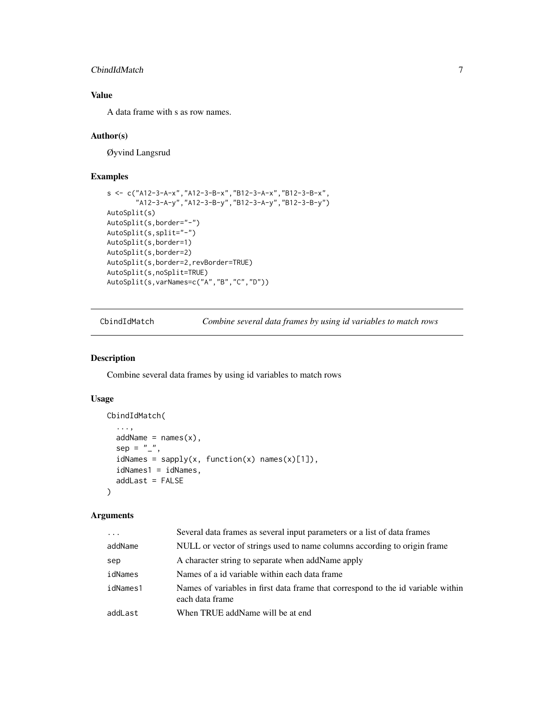### <span id="page-6-0"></span>CbindIdMatch 7

### Value

A data frame with s as row names.

#### Author(s)

Øyvind Langsrud

#### Examples

```
s <- c("A12-3-A-x","A12-3-B-x","B12-3-A-x","B12-3-B-x",
       "A12-3-A-y","A12-3-B-y","B12-3-A-y","B12-3-B-y")
AutoSplit(s)
AutoSplit(s,border="-")
AutoSplit(s,split="-")
AutoSplit(s,border=1)
AutoSplit(s,border=2)
AutoSplit(s,border=2,revBorder=TRUE)
AutoSplit(s,noSplit=TRUE)
AutoSplit(s,varNames=c("A","B","C","D"))
```
<span id="page-6-1"></span>CbindIdMatch *Combine several data frames by using id variables to match rows*

### Description

Combine several data frames by using id variables to match rows

### Usage

```
CbindIdMatch(
  ...,
 addName = names(x),sep = "'',
  idNames = sapply(x, function(x) names(x)[1]),idNames1 = idNames,
  addLast = FALSE)
```
### Arguments

| $\cdots$ | Several data frames as several input parameters or a list of data frames                            |
|----------|-----------------------------------------------------------------------------------------------------|
| addName  | NULL or vector of strings used to name columns according to origin frame                            |
| sep      | A character string to separate when addName apply                                                   |
| idNames  | Names of a id variable within each data frame                                                       |
| idNames1 | Names of variables in first data frame that correspond to the id variable within<br>each data frame |
| addLast  | When TRUE addName will be at end                                                                    |
|          |                                                                                                     |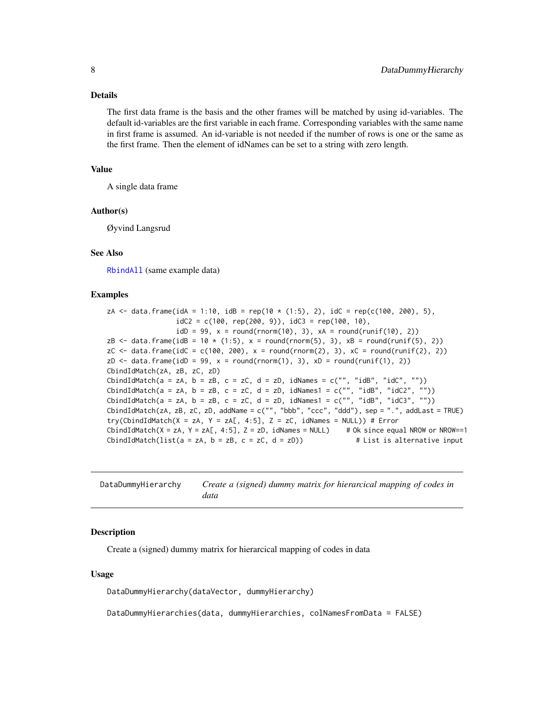#### <span id="page-7-0"></span>Details

The first data frame is the basis and the other frames will be matched by using id-variables. The default id-variables are the first variable in each frame. Corresponding variables with the same name in first frame is assumed. An id-variable is not needed if the number of rows is one or the same as the first frame. Then the element of idNames can be set to a string with zero length.

#### Value

A single data frame

#### Author(s)

Øyvind Langsrud

#### See Also

[RbindAll](#page-55-1) (same example data)

#### Examples

zA <- data.frame(idA = 1:10, idB = rep(10  $*$  (1:5), 2), idC = rep(c(100, 200), 5),  $idC2 = c(100, rep(200, 9)), idC3 = rep(100, 10),$  $idD = 99$ ,  $x = round(rnorm(10)$ , 3),  $xA = round(runif(10)$ , 2)) zB <- data.frame(idB =  $10 \times (1:5)$ , x = round(rnorm(5), 3), xB = round(runif(5), 2)) zC <- data.frame(idC = c(100, 200), x = round(rnorm(2), 3), xC = round(runif(2), 2)) zD  $\le$  data.frame(idD = 99, x = round(rnorm(1), 3), xD = round(runif(1), 2)) CbindIdMatch(zA, zB, zC, zD) CbindIdMatch(a = zA, b = zB, c = zC, d = zD, idNames =  $c("", "idB", "idC", ""))$ CbindIdMatch(a = zA, b = zB, c = zC, d = zD, idNames1 = c("", "idB", "idC2", "")) CbindIdMatch(a = zA, b = zB, c = zC, d = zD, idNames1 = c("", "idB", "idC3", "")) CbindIdMatch(zA, zB, zC, zD, addName = c("", "bbb", "ccc", "ddd"), sep = ".", addLast = TRUE) try(CbindIdMatch(X = zA, Y = zA[, 4:5], Z = zC, idNames = NULL)) # Error CbindIdMatch(X = zA, Y = zA[, 4:5], Z = zD, idNames = NULL) # Ok since equal NROW or NROW==1 CbindIdMatch(list(a = zA, b = zB, c = zC, d = zD)) # List is alternative input

| DataDummyHierarchy | Create a (signed) dummy matrix for hierarcical mapping of codes in |
|--------------------|--------------------------------------------------------------------|
|                    | data                                                               |

#### Description

Create a (signed) dummy matrix for hierarcical mapping of codes in data

#### Usage

DataDummyHierarchy(dataVector, dummyHierarchy)

DataDummyHierarchies(data, dummyHierarchies, colNamesFromData = FALSE)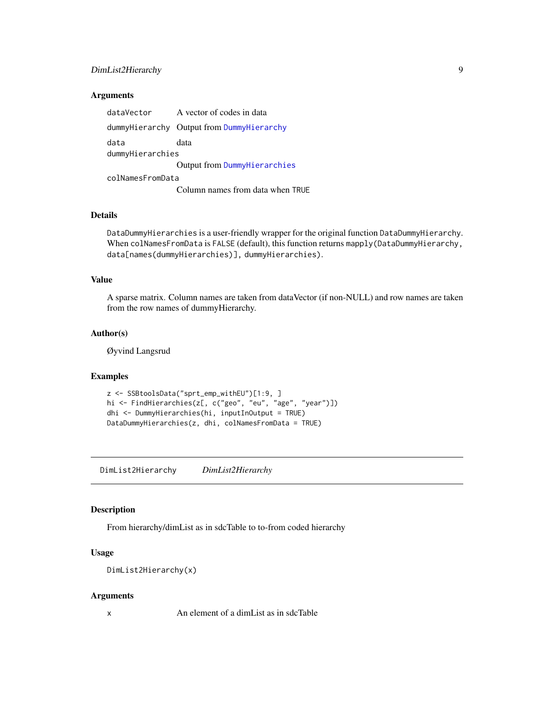### <span id="page-8-0"></span>DimList2Hierarchy 9

### Arguments

| dataVector       | A vector of codes in data                 |
|------------------|-------------------------------------------|
|                  | dummyHierarchy Output from DummyHierarchy |
| data             | data                                      |
| dummyHierarchies |                                           |
|                  | Output from DummyHierarchies              |
| colNamesFromData |                                           |
|                  | Column names from data when TRUE          |

#### Details

DataDummyHierarchies is a user-friendly wrapper for the original function DataDummyHierarchy. When colNamesFromData is FALSE (default), this function returns mapply(DataDummyHierarchy, data[names(dummyHierarchies)], dummyHierarchies).

### Value

A sparse matrix. Column names are taken from dataVector (if non-NULL) and row names are taken from the row names of dummyHierarchy.

### Author(s)

Øyvind Langsrud

#### Examples

```
z <- SSBtoolsData("sprt_emp_withEU")[1:9, ]
hi <- FindHierarchies(z[, c("geo", "eu", "age", "year")])
dhi <- DummyHierarchies(hi, inputInOutput = TRUE)
DataDummyHierarchies(z, dhi, colNamesFromData = TRUE)
```
<span id="page-8-1"></span>DimList2Hierarchy *DimList2Hierarchy*

#### Description

From hierarchy/dimList as in sdcTable to to-from coded hierarchy

### Usage

```
DimList2Hierarchy(x)
```
#### Arguments

x An element of a dimList as in sdcTable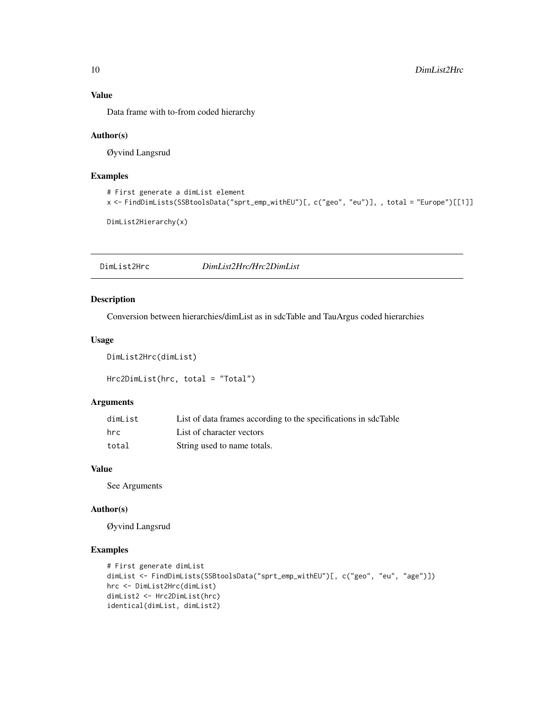### Value

Data frame with to-from coded hierarchy

#### Author(s)

Øyvind Langsrud

### Examples

```
# First generate a dimList element
x <- FindDimLists(SSBtoolsData("sprt_emp_withEU")[, c("geo", "eu")], , total = "Europe")[[1]]
```
DimList2Hierarchy(x)

DimList2Hrc *DimList2Hrc/Hrc2DimList*

### <span id="page-9-1"></span>Description

Conversion between hierarchies/dimList as in sdcTable and TauArgus coded hierarchies

### Usage

```
DimList2Hrc(dimList)
```
Hrc2DimList(hrc, total = "Total")

#### Arguments

| dimList | List of data frames according to the specifications in sdcTable |
|---------|-----------------------------------------------------------------|
| hrc     | List of character vectors                                       |
| total   | String used to name totals.                                     |

### Value

See Arguments

#### Author(s)

Øyvind Langsrud

```
# First generate dimList
dimList <- FindDimLists(SSBtoolsData("sprt_emp_withEU")[, c("geo", "eu", "age")])
hrc <- DimList2Hrc(dimList)
dimList2 <- Hrc2DimList(hrc)
identical(dimList, dimList2)
```
<span id="page-9-0"></span>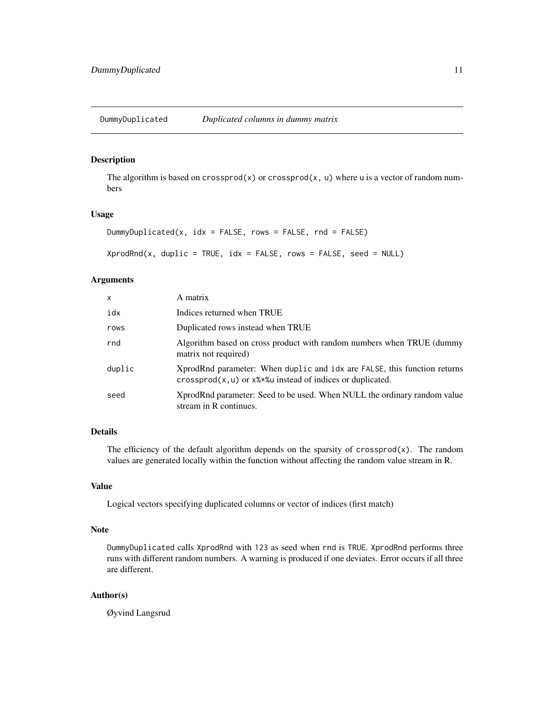<span id="page-10-0"></span>DummyDuplicated *Duplicated columns in dummy matrix*

### Description

The algorithm is based on crossprod(x) or crossprod(x, u) where u is a vector of random numbers

#### Usage

```
DummyDuplicated(x, idx = FALSE, rows = FALSE, rnd = FALSE)
```
 $XprodRnd(x, duplic = TRUE, idx = FALSE, rows = FALSE, seed = NULL)$ 

### Arguments

| x      | A matrix                                                                                                                                        |
|--------|-------------------------------------------------------------------------------------------------------------------------------------------------|
| idx    | Indices returned when TRUE                                                                                                                      |
| rows   | Duplicated rows instead when TRUE                                                                                                               |
| rnd    | Algorithm based on cross product with random numbers when TRUE (dummy<br>matrix not required)                                                   |
| duplic | XprodRnd parameter: When duplic and idx are FALSE, this function returns<br>$crossprod(x, u)$ or $x$ % * % as instead of indices or duplicated. |
| seed   | XprodRnd parameter: Seed to be used. When NULL the ordinary random value<br>stream in R continues.                                              |

#### Details

The efficiency of the default algorithm depends on the sparsity of crossprod(x). The random values are generated locally within the function without affecting the random value stream in R.

### Value

Logical vectors specifying duplicated columns or vector of indices (first match)

#### Note

DummyDuplicated calls XprodRnd with 123 as seed when rnd is TRUE. XprodRnd performs three runs with different random numbers. A warning is produced if one deviates. Error occurs if all three are different.

#### Author(s)

Øyvind Langsrud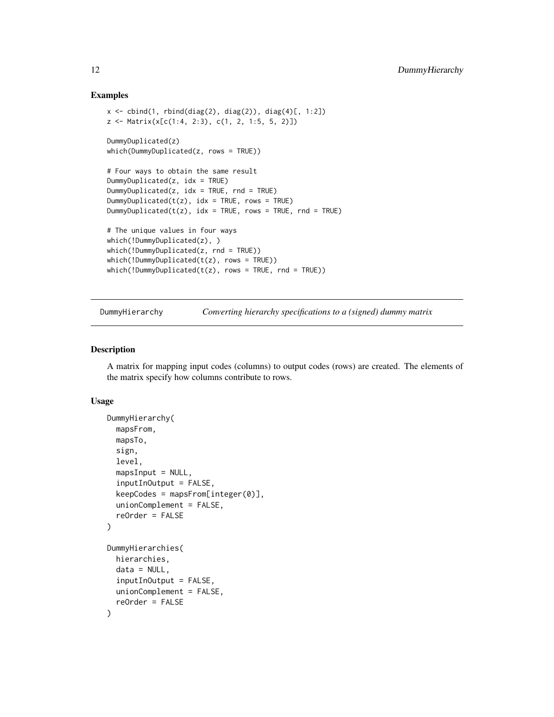#### Examples

```
x \leftarrow \text{cbind}(1, \text{rbind(diag}(2), \text{diag}(2)), \text{diag}(4)[, 1:2])z <- Matrix(x[c(1:4, 2:3), c(1, 2, 1:5, 5, 2)])
DummyDuplicated(z)
which(DummyDuplicated(z, rows = TRUE))
# Four ways to obtain the same result
DummyDuplicated(z, idx = TRUE)
DummyDuplicated(z, idx = TRUE, rnd = TRUE)
DummyDuplicated(t(z), idx = TRUE, rows = TRUE)
DummyDuplicated(t(z), idx = TRUE, rows = TRUE, rnd = TRUE)
# The unique values in four ways
which(!DummyDuplicated(z), )
which(!DummyDuplicated(z, rnd = TRUE))
which(!DummyDuplicated(t(z), rows = TRUE))which(!DummyDuplicated(t(z), rows = TRUE, rnd = TRUE))
```
DummyHierarchy *Converting hierarchy specifications to a (signed) dummy matrix*

### <span id="page-11-2"></span>Description

A matrix for mapping input codes (columns) to output codes (rows) are created. The elements of the matrix specify how columns contribute to rows.

#### Usage

```
DummyHierarchy(
 mapsFrom,
 mapsTo,
  sign,
  level,
 mapsInput = NULL,
  inputInOutput = FALSE,
  keepCodes = mapsFrom[integer(0)],unionComplement = FALSE,
  reOrder = FALSE
)
DummyHierarchies(
 hierarchies,
  data = NULL,
  inputInOutput = FALSE,
  unionComplement = FALSE,
  reOrder = FALSE
)
```
<span id="page-11-0"></span>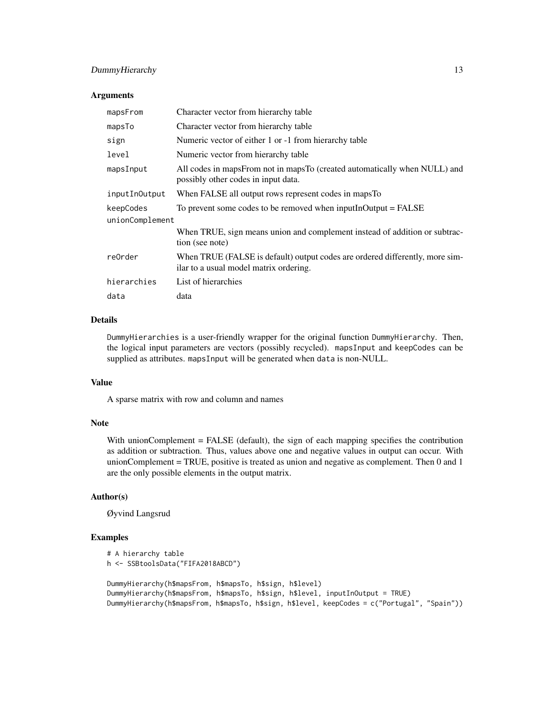### DummyHierarchy 13

### Arguments

| mapsFrom        | Character vector from hierarchy table                                                                                  |
|-----------------|------------------------------------------------------------------------------------------------------------------------|
| mapsTo          | Character vector from hierarchy table                                                                                  |
| sign            | Numeric vector of either 1 or -1 from hierarchy table                                                                  |
| level           | Numeric vector from hierarchy table.                                                                                   |
| mapsInput       | All codes in mapsFrom not in mapsTo (created automatically when NULL) and<br>possibly other codes in input data.       |
| inputInOutput   | When FALSE all output rows represent codes in maps To                                                                  |
| keepCodes       | To prevent some codes to be removed when input In $Output = FALSE$                                                     |
| unionComplement |                                                                                                                        |
|                 | When TRUE, sign means union and complement instead of addition or subtrac-<br>tion (see note)                          |
| re0rder         | When TRUE (FALSE is default) output codes are ordered differently, more sim-<br>ilar to a usual model matrix ordering. |
| hierarchies     | List of hierarchies                                                                                                    |
| data            | data                                                                                                                   |

#### Details

DummyHierarchies is a user-friendly wrapper for the original function DummyHierarchy. Then, the logical input parameters are vectors (possibly recycled). mapsInput and keepCodes can be supplied as attributes. mapsInput will be generated when data is non-NULL.

### Value

A sparse matrix with row and column and names

### Note

With unionComplement = FALSE (default), the sign of each mapping specifies the contribution as addition or subtraction. Thus, values above one and negative values in output can occur. With unionComplement = TRUE, positive is treated as union and negative as complement. Then 0 and 1 are the only possible elements in the output matrix.

#### Author(s)

Øyvind Langsrud

```
# A hierarchy table
h <- SSBtoolsData("FIFA2018ABCD")
DummyHierarchy(h$mapsFrom, h$mapsTo, h$sign, h$level)
DummyHierarchy(h$mapsFrom, h$mapsTo, h$sign, h$level, inputInOutput = TRUE)
DummyHierarchy(h$mapsFrom, h$mapsTo, h$sign, h$level, keepCodes = c("Portugal", "Spain"))
```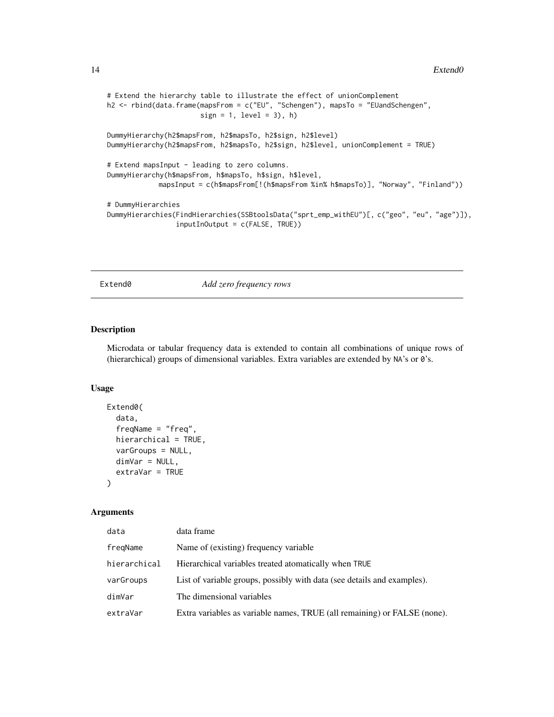```
# Extend the hierarchy table to illustrate the effect of unionComplement
h2 <- rbind(data.frame(mapsFrom = c("EU", "Schengen"), mapsTo = "EUandSchengen",
                       sign = 1, level = 3), h)
DummyHierarchy(h2$mapsFrom, h2$mapsTo, h2$sign, h2$level)
DummyHierarchy(h2$mapsFrom, h2$mapsTo, h2$sign, h2$level, unionComplement = TRUE)
# Extend mapsInput - leading to zero columns.
DummyHierarchy(h$mapsFrom, h$mapsTo, h$sign, h$level,
            mapsInput = c(h$mapsFrom[!(h$mapsFrom %in% h$mapsTo)], "Norway", "Finland"))
# DummyHierarchies
DummyHierarchies(FindHierarchies(SSBtoolsData("sprt_emp_withEU")[, c("geo", "eu", "age")]),
                 inputInOutput = c(FALSE, TRUE))
```
<span id="page-13-1"></span>Extend0 *Add zero frequency rows*

### Description

Microdata or tabular frequency data is extended to contain all combinations of unique rows of (hierarchical) groups of dimensional variables. Extra variables are extended by NA's or 0's.

#### Usage

```
Extend0(
  data,
  freqName = "freq",
  hierarchical = TRUE,
  varGroups = NULL,
  dimVar = NULL,
  extraVar = TRUE
)
```
### Arguments

| data         | data frame                                                               |
|--------------|--------------------------------------------------------------------------|
| fregName     | Name of (existing) frequency variable                                    |
| hierarchical | Hierarchical variables treated atomatically when TRUE                    |
| varGroups    | List of variable groups, possibly with data (see details and examples).  |
| dimVar       | The dimensional variables                                                |
| extraVar     | Extra variables as variable names, TRUE (all remaining) or FALSE (none). |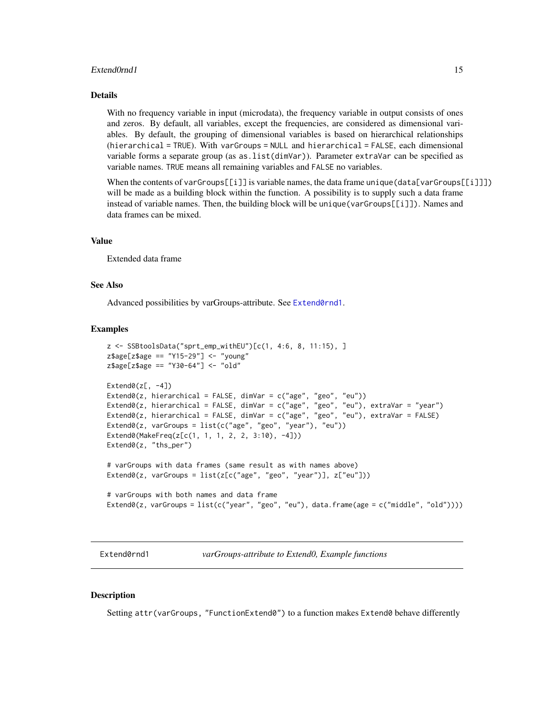#### <span id="page-14-0"></span>Extend0rnd1 15

#### Details

With no frequency variable in input (microdata), the frequency variable in output consists of ones and zeros. By default, all variables, except the frequencies, are considered as dimensional variables. By default, the grouping of dimensional variables is based on hierarchical relationships (hierarchical = TRUE). With varGroups = NULL and hierarchical = FALSE, each dimensional variable forms a separate group (as as.list(dimVar)). Parameter extraVar can be specified as variable names. TRUE means all remaining variables and FALSE no variables.

When the contents of varGroups $[\![\text{i}]\!]$  is variable names, the data frame unique (data [varGroups $[\![\text{i}]\!]$ ]) will be made as a building block within the function. A possibility is to supply such a data frame instead of variable names. Then, the building block will be unique(varGroups[[i]]). Names and data frames can be mixed.

#### Value

Extended data frame

#### See Also

Advanced possibilities by varGroups-attribute. See [Extend0rnd1](#page-14-1).

#### Examples

```
z <- SSBtoolsData("sprt_emp_withEU")[c(1, 4:6, 8, 11:15), ]
z$age[z$age == "Y15-29"] <- "young"
z$age[z$age == "Y30-64"] <- "old"
Extend0(z[, -4])Extend0(z, hierarchical = FALSE, dimVar = c("age", "geo", "eu"))Extend0(z, hierarchical = FALSE, dimVar = c("age", "geo", "eu"), extraVar = "year")
Extend0(z, hierarchical = FALSE, dimVar = c("age", "geo", "eu"), extraVar = FALSE)
Extend0(z, varGroups = list(c("age", "geo", "year"), "eu"))
Extend0(MakeFreq(z[c(1, 1, 1, 2, 2, 3:10), -4]))
Extend0(z, "ths_per")
# varGroups with data frames (same result as with names above)
Extend0(z, varGroups = list(z[c("age", "geo", "year")], z["eu"]))
# varGroups with both names and data frame
Extend0(z, varGroups = list(c('year", "geo", "eu"), data-frame(age = c("middle", "old"))))
```
<span id="page-14-1"></span>Extend0rnd1 *varGroups-attribute to Extend0, Example functions*

#### **Description**

Setting attr(varGroups, "FunctionExtend0") to a function makes Extend0 behave differently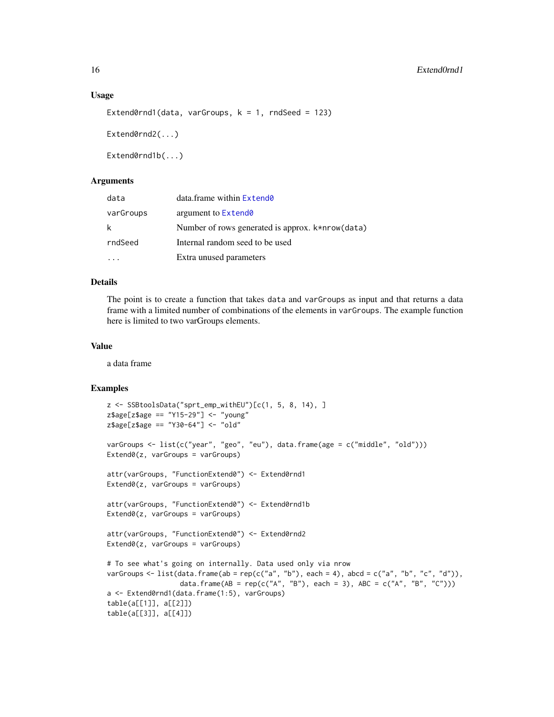#### <span id="page-15-0"></span>Usage

```
Extend0rnd1(data, varGroups, k = 1, rndSeed = 123)
Extend0rnd2(...)
```
Extend0rnd1b(...)

#### **Arguments**

| data      | data.frame within Extend0                        |
|-----------|--------------------------------------------------|
| varGroups | argument to Extend <sub>0</sub>                  |
| k         | Number of rows generated is approx. k*nrow(data) |
| rndSeed   | Internal random seed to be used                  |
|           | Extra unused parameters                          |

#### Details

The point is to create a function that takes data and varGroups as input and that returns a data frame with a limited number of combinations of the elements in varGroups. The example function here is limited to two varGroups elements.

#### Value

a data frame

```
z <- SSBtoolsData("sprt_emp_withEU")[c(1, 5, 8, 14), ]
z$age[z$age == "Y15-29"] <- "young"
z$age[z$age == "Y30-64"] <- "old"
varGroups <- list(c("year", "geo", "eu"), data.frame(age = c("middle", "old")))
Extend0(z, varGroups = varGroups)
attr(varGroups, "FunctionExtend0") <- Extend0rnd1
Extend0(z, varGroups = varGroups)
attr(varGroups, "FunctionExtend0") <- Extend0rnd1b
Extend0(z, varGroups = varGroups)
attr(varGroups, "FunctionExtend0") <- Extend0rnd2
Extend0(z, varGroups = varGroups)
# To see what's going on internally. Data used only via nrow
varGroups <- list(data.frame(ab = rep(c("a", "b"), each = 4), abcd = c("a", "b", "c", "d")),
                  data.frame(AB = rep(c("A", "B"), each = 3), ABC = c("A", "B", "C")))
a <- Extend0rnd1(data.frame(1:5), varGroups)
table(a[[1]], a[[2]])
table(a[[3]], a[[4]])
```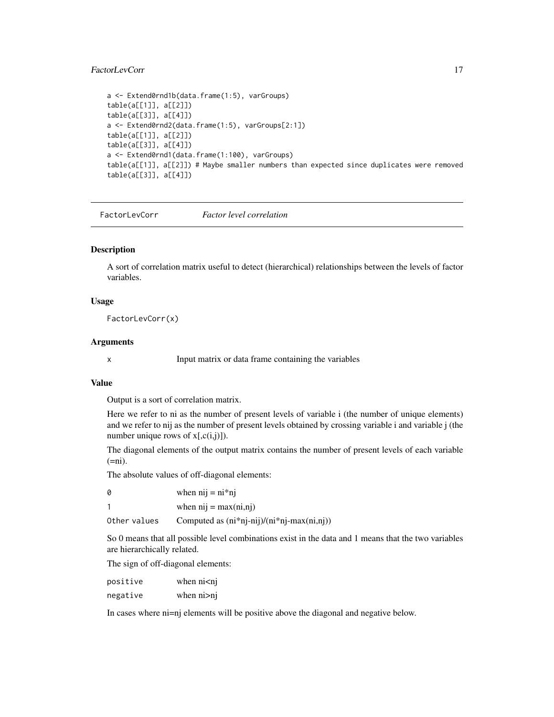### <span id="page-16-0"></span>FactorLevCorr 17

```
a <- Extend0rnd1b(data.frame(1:5), varGroups)
table(a[[1]], a[[2]])
table(a[[3]], a[[4]])
a <- Extend0rnd2(data.frame(1:5), varGroups[2:1])
table(a[[1]], a[[2]])
table(a[[3]], a[[4]])
a <- Extend0rnd1(data.frame(1:100), varGroups)
table(a[[1]], a[[2]]) # Maybe smaller numbers than expected since duplicates were removed
table(a[[3]], a[[4]])
```
FactorLevCorr *Factor level correlation*

#### Description

A sort of correlation matrix useful to detect (hierarchical) relationships between the levels of factor variables.

#### Usage

FactorLevCorr(x)

#### Arguments

x Input matrix or data frame containing the variables

#### Value

Output is a sort of correlation matrix.

Here we refer to ni as the number of present levels of variable i (the number of unique elements) and we refer to nij as the number of present levels obtained by crossing variable i and variable j (the number unique rows of  $x$ [, $c(i,j)$ ]).

The diagonal elements of the output matrix contains the number of present levels of each variable  $(=ni).$ 

The absolute values of off-diagonal elements:

| 0            | when $nij = ni * nj$                         |
|--------------|----------------------------------------------|
|              | when $nij = max(ni, nj)$                     |
| Other values | Computed as $(ni*nj-nij)/(ni*nj-max(ni,nj))$ |

So 0 means that all possible level combinations exist in the data and 1 means that the two variables are hierarchically related.

The sign of off-diagonal elements:

| positive | when $n$ $\leq$ n $j$ |
|----------|-----------------------|
| negative | when $ni > nj$        |

In cases where ni=nj elements will be positive above the diagonal and negative below.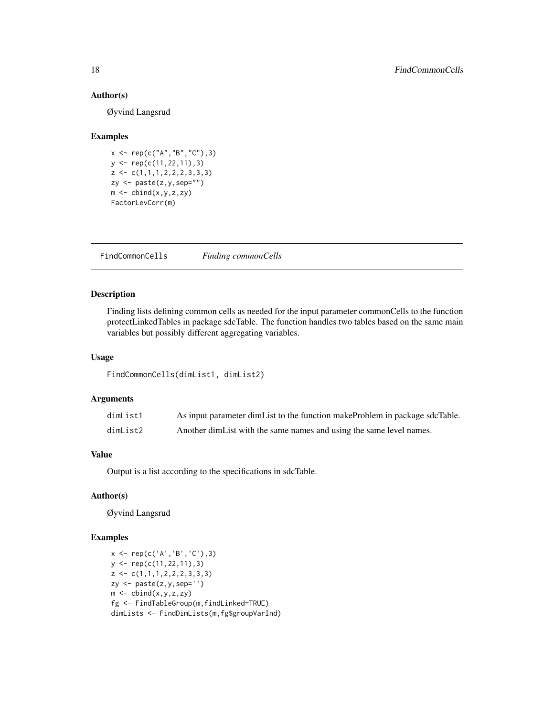### Author(s)

Øyvind Langsrud

#### Examples

```
x <- rep(c("A","B","C"),3)
y <- rep(c(11,22,11),3)
z \leftarrow c(1,1,1,2,2,2,3,3,3)zy <- paste(z,y,sep="")
m \leftarrow \text{cbind}(x, y, z, zy)FactorLevCorr(m)
```
FindCommonCells *Finding commonCells*

### Description

Finding lists defining common cells as needed for the input parameter commonCells to the function protectLinkedTables in package sdcTable. The function handles two tables based on the same main variables but possibly different aggregating variables.

#### Usage

FindCommonCells(dimList1, dimList2)

### Arguments

| dimList1 | As input parameter dimList to the function makeProblem in package sdcTable. |
|----------|-----------------------------------------------------------------------------|
| dimList2 | Another dimList with the same names and using the same level names.         |

### Value

Output is a list according to the specifications in sdcTable.

#### Author(s)

Øyvind Langsrud

```
x \leq -\text{rep}(c('A', 'B', 'C')), 3)y <- rep(c(11,22,11),3)
z \leftarrow c(1,1,1,2,2,2,3,3,3)zy <- paste(z,y,sep='')
m \leftarrow \text{cbind}(x, y, z, zy)fg <- FindTableGroup(m,findLinked=TRUE)
dimLists <- FindDimLists(m,fg$groupVarInd)
```
<span id="page-17-0"></span>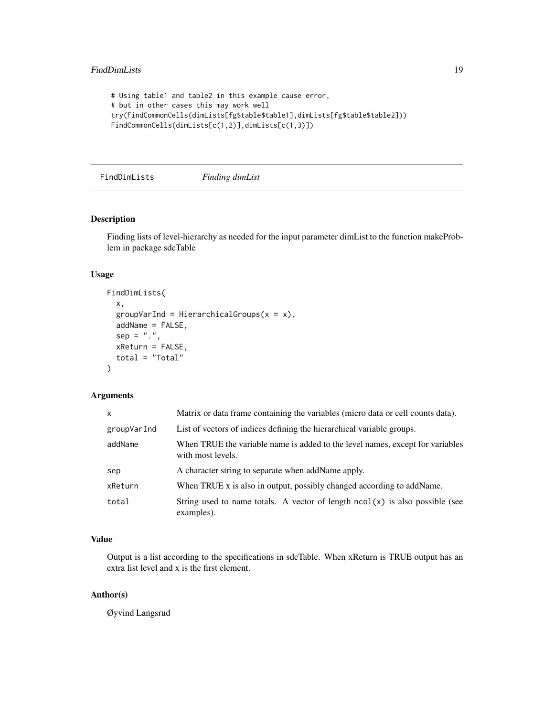```
# Using table1 and table2 in this example cause error,
# but in other cases this may work well
try(FindCommonCells(dimLists[fg$table$table1],dimLists[fg$table$table2]))
FindCommonCells(dimLists[c(1,2)],dimLists[c(1,3)])
```
<span id="page-18-1"></span>FindDimLists *Finding dimList*

### Description

Finding lists of level-hierarchy as needed for the input parameter dimList to the function makeProblem in package sdcTable

#### Usage

```
FindDimLists(
  x,
  groupVarInd = HierarchicalGroups(x = x),addName = FALSE,
  sep = "."xReturn = FALSE,
  total = "Total"
\mathcal{E}
```
### Arguments

| X           | Matrix or data frame containing the variables (micro data or cell counts data).                    |
|-------------|----------------------------------------------------------------------------------------------------|
| groupVarInd | List of vectors of indices defining the hierarchical variable groups.                              |
| addName     | When TRUE the variable name is added to the level names, except for variables<br>with most levels. |
| sep         | A character string to separate when addName apply.                                                 |
| xReturn     | When TRUE x is also in output, possibly changed according to addName.                              |
| total       | String used to name totals. A vector of length $ncol(x)$ is also possible (see<br>examples).       |

### Value

Output is a list according to the specifications in sdcTable. When xReturn is TRUE output has an extra list level and x is the first element.

#### Author(s)

Øyvind Langsrud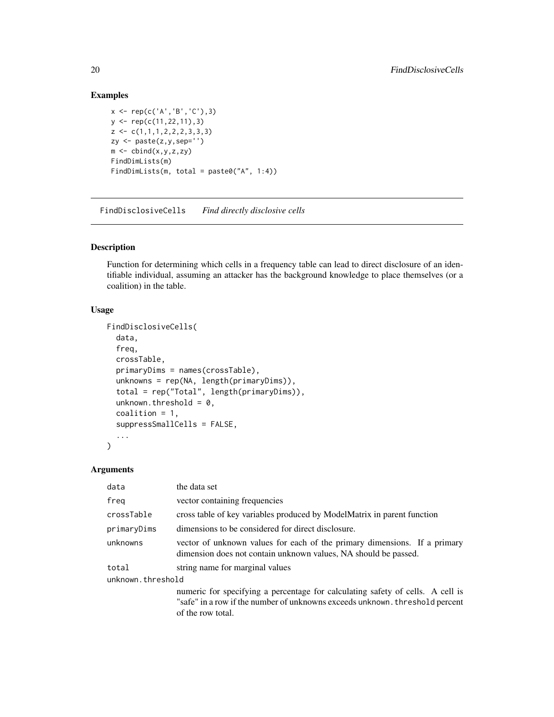### Examples

```
x \leq -\text{rep}(c('A', 'B', 'C')), 3)y <- rep(c(11,22,11),3)
z \leftarrow c(1,1,1,2,2,2,3,3,3)zy <- paste(z,y,sep='')
m \leftarrow \text{cbind}(x, y, z, zy)FindDimLists(m)
FindDimLists(m, total = paste0("A", 1:4))
```
FindDisclosiveCells *Find directly disclosive cells*

### Description

Function for determining which cells in a frequency table can lead to direct disclosure of an identifiable individual, assuming an attacker has the background knowledge to place themselves (or a coalition) in the table.

#### Usage

```
FindDisclosiveCells(
  data,
  freq,
  crossTable,
  primaryDims = names(crossTable),
  unknowns = rep(NA, length(primaryDims)),
  total = rep("Total", length(primaryDims)),
  unknown.threshold = 0,
  coalition = 1,
  suppressSmallCells = FALSE,
  ...
)
```
#### Arguments

| data              | the data set                                                                                                                                                                        |  |
|-------------------|-------------------------------------------------------------------------------------------------------------------------------------------------------------------------------------|--|
| freg              | vector containing frequencies                                                                                                                                                       |  |
| crossTable        | cross table of key variables produced by ModelMatrix in parent function                                                                                                             |  |
| primaryDims       | dimensions to be considered for direct disclosure.                                                                                                                                  |  |
| unknowns          | vector of unknown values for each of the primary dimensions. If a primary<br>dimension does not contain unknown values, NA should be passed.                                        |  |
| total             | string name for marginal values                                                                                                                                                     |  |
| unknown.threshold |                                                                                                                                                                                     |  |
|                   | numeric for specifying a percentage for calculating safety of cells. A cell is<br>"safe" in a row if the number of unknowns exceeds unknown. threshold percent<br>of the row total. |  |

<span id="page-19-0"></span>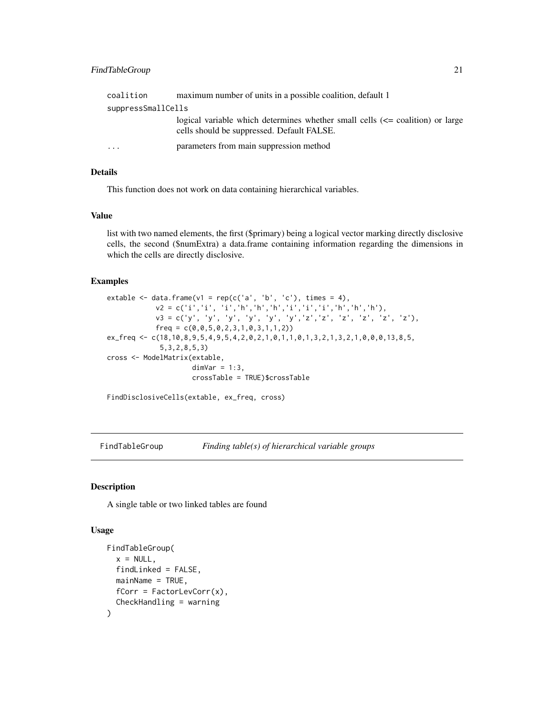### <span id="page-20-0"></span>FindTableGroup 21

| coalition          | maximum number of units in a possible coalition, default 1                                                                      |  |
|--------------------|---------------------------------------------------------------------------------------------------------------------------------|--|
| suppressSmallCells |                                                                                                                                 |  |
|                    | logical variable which determines whether small cells $\ll$ = coalition) or large<br>cells should be suppressed. Default FALSE. |  |
| .                  | parameters from main suppression method                                                                                         |  |

#### Details

This function does not work on data containing hierarchical variables.

#### Value

list with two named elements, the first (\$primary) being a logical vector marking directly disclosive cells, the second (\$numExtra) a data.frame containing information regarding the dimensions in which the cells are directly disclosive.

#### Examples

```
extable \leq data.frame(v1 = rep(c('a', 'b', 'c'), times = 4),
            v2 = c('i', 'i', 'i', 'h', 'h', 'h', 'i', 'i', 'i', 'h', 'h', 'h', 'h'),
            v3 = c('y', 'y', 'y', 'y', 'y', 'y', 'z', 'z', 'z', 'z', 'z', 'z', 'z'),
            freq = c(0,0,5,0,2,3,1,0,3,1,1,2))
ex_freq <- c(18,10,8,9,5,4,9,5,4,2,0,2,1,0,1,1,0,1,3,2,1,3,2,1,0,0,0,13,8,5,
             5,3,2,8,5,3)
cross <- ModelMatrix(extable,
                      dimVar = 1:3,
                      crossTable = TRUE)$crossTable
```
FindDisclosiveCells(extable, ex\_freq, cross)

FindTableGroup *Finding table(s) of hierarchical variable groups*

#### Description

A single table or two linked tables are found

#### Usage

```
FindTableGroup(
  x = NULL,
  findLinked = FALSE,
  mainName = TRUE,
  fCorr = FactorLevCorr(x),
  CheckHandling = warning
)
```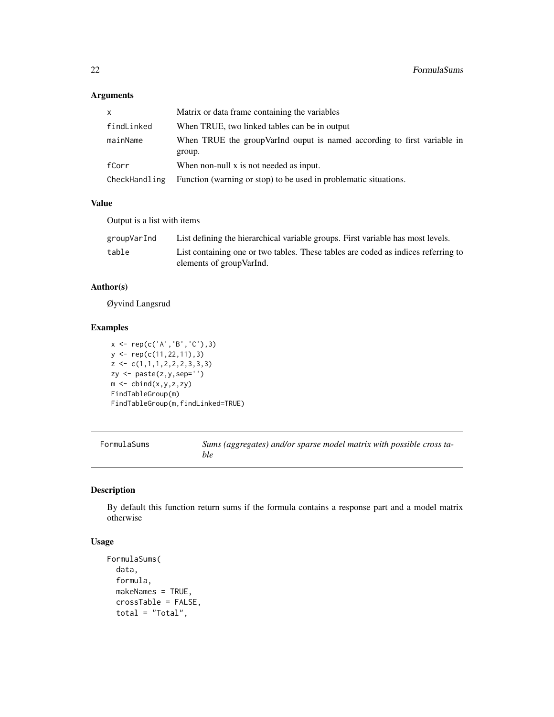### <span id="page-21-0"></span>Arguments

| $\mathsf{x}$  | Matrix or data frame containing the variables                                      |
|---------------|------------------------------------------------------------------------------------|
| findLinked    | When TRUE, two linked tables can be in output                                      |
| mainName      | When TRUE the group Varind ouput is named according to first variable in<br>group. |
| fCorr         | When non-null x is not needed as input.                                            |
| CheckHandling | Function (warning or stop) to be used in problematic situations.                   |

### Value

Output is a list with items

| groupVarInd | List defining the hierarchical variable groups. First variable has most levels.                                |
|-------------|----------------------------------------------------------------------------------------------------------------|
| table       | List containing one or two tables. These tables are coded as indices referring to<br>elements of group VarInd. |

### Author(s)

Øyvind Langsrud

### Examples

x <- rep(c('A','B','C'),3) y <- rep(c(11,22,11),3)  $z \leftarrow c(1,1,1,2,2,2,3,3,3)$ zy <- paste(z,y,sep='')  $m \leftarrow \text{cbind}(x,y,z,zy)$ FindTableGroup(m) FindTableGroup(m,findLinked=TRUE)

<span id="page-21-2"></span>

| FormulaSums | Sums (aggregates) and/or sparse model matrix with possible cross ta- |
|-------------|----------------------------------------------------------------------|
|             | ble                                                                  |

### <span id="page-21-1"></span>Description

By default this function return sums if the formula contains a response part and a model matrix otherwise

### Usage

```
FormulaSums(
  data,
  formula,
  makeNames = TRUE,
  crossTable = FALSE,
  total = "Total",
```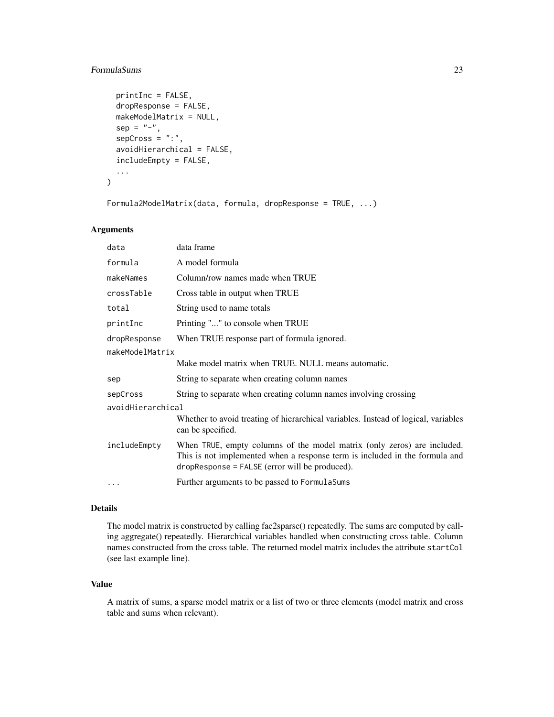### FormulaSums 23

```
printInc = FALSE,
dropResponse = FALSE,
makeModelMatrix = NULL,
sep = "-",
sepCross = ":"avoidHierarchical = FALSE,
includeEmpty = FALSE,
...
```
Formula2ModelMatrix(data, formula, dropResponse = TRUE, ...)

### Arguments

)

| data              | data frame                                                                                                                                                                                                  |  |
|-------------------|-------------------------------------------------------------------------------------------------------------------------------------------------------------------------------------------------------------|--|
| formula           | A model formula                                                                                                                                                                                             |  |
| makeNames         | Column/row names made when TRUE                                                                                                                                                                             |  |
| crossTable        | Cross table in output when TRUE                                                                                                                                                                             |  |
| total             | String used to name totals                                                                                                                                                                                  |  |
| printInc          | Printing "" to console when TRUE                                                                                                                                                                            |  |
| dropResponse      | When TRUE response part of formula ignored.                                                                                                                                                                 |  |
| makeModelMatrix   |                                                                                                                                                                                                             |  |
|                   | Make model matrix when TRUE. NULL means automatic.                                                                                                                                                          |  |
| sep               | String to separate when creating column names                                                                                                                                                               |  |
| sepCross          | String to separate when creating column names involving crossing                                                                                                                                            |  |
| avoidHierarchical |                                                                                                                                                                                                             |  |
|                   | Whether to avoid treating of hierarchical variables. Instead of logical, variables<br>can be specified.                                                                                                     |  |
| includeEmpty      | When TRUE, empty columns of the model matrix (only zeros) are included.<br>This is not implemented when a response term is included in the formula and<br>$drop$ Response = FALSE (error will be produced). |  |
| $\ddotsc$         | Further arguments to be passed to Formula Sums                                                                                                                                                              |  |

#### Details

The model matrix is constructed by calling fac2sparse() repeatedly. The sums are computed by calling aggregate() repeatedly. Hierarchical variables handled when constructing cross table. Column names constructed from the cross table. The returned model matrix includes the attribute startCol (see last example line).

### Value

A matrix of sums, a sparse model matrix or a list of two or three elements (model matrix and cross table and sums when relevant).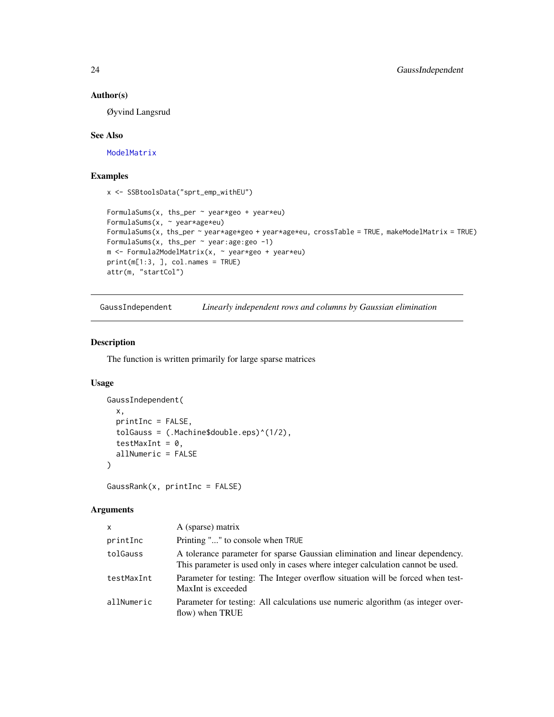### Author(s)

Øyvind Langsrud

### See Also

[ModelMatrix](#page-52-1)

#### Examples

x <- SSBtoolsData("sprt\_emp\_withEU")

```
FormulaSums(x, ths_per \sim year*geo + year*eu)
FormulaSums(x, ~ year*age*eu)
FormulaSums(x, ths_per ~ year*age*geo + year*age*eu, crossTable = TRUE, makeModelMatrix = TRUE)
FormulaSums(x, ths_per \sim year:age:geo -1)
m <- Formula2ModelMatrix(x, ~ year*geo + year*eu)
print(m[1:3, ], col.names = TRUE)
attr(m, "startCol")
```
<span id="page-23-1"></span>GaussIndependent *Linearly independent rows and columns by Gaussian elimination*

### Description

The function is written primarily for large sparse matrices

### Usage

```
GaussIndependent(
  x,
 printInc = FALSE,
  tolGauss = (.Machine$double.eps)^(1/2),
  testMaxInt = 0,
  allNumeric = FALSE
\lambda
```
GaussRank(x, printInc = FALSE)

### Arguments

| x          | A (sparse) matrix                                                                                                                                              |
|------------|----------------------------------------------------------------------------------------------------------------------------------------------------------------|
| printInc   | Printing "" to console when TRUE                                                                                                                               |
| tolGauss   | A tolerance parameter for sparse Gaussian elimination and linear dependency.<br>This parameter is used only in cases where integer calculation cannot be used. |
| testMaxInt | Parameter for testing: The Integer overflow situation will be forced when test-<br>MaxInt is exceeded                                                          |
| allNumeric | Parameter for testing: All calculations use numeric algorithm (as integer over-<br>flow) when TRUE                                                             |

<span id="page-23-0"></span>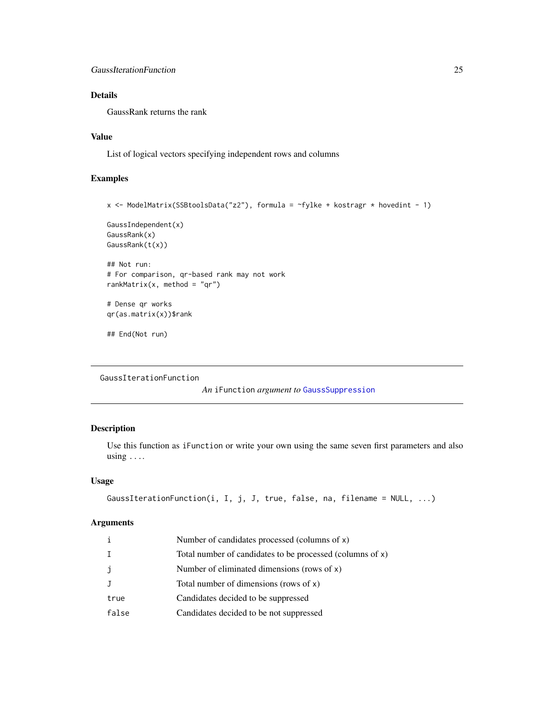### <span id="page-24-0"></span>Details

GaussRank returns the rank

### Value

List of logical vectors specifying independent rows and columns

### Examples

```
x <- ModelMatrix(SSBtoolsData("z2"), formula = ~fylke + kostragr * hovedint - 1)
```

```
GaussIndependent(x)
GaussRank(x)
GaussRank(t(x))
```

```
## Not run:
# For comparison, qr-based rank may not work
rankMatrix(x, method = "qr")
```
# Dense qr works qr(as.matrix(x))\$rank

```
## End(Not run)
```

```
GaussIterationFunction
```
*An* iFunction *argument to* [GaussSuppression](#page-25-1)

### Description

Use this function as iFunction or write your own using the same seven first parameters and also using  $\ldots$ 

#### Usage

```
GaussIterationFunction(i, I, j, J, true, false, na, filename = NULL, ...)
```
### Arguments

|              | Number of candidates processed (columns of x)             |
|--------------|-----------------------------------------------------------|
|              | Total number of candidates to be processed (columns of x) |
| $\mathbf{J}$ | Number of eliminated dimensions (rows of $x$ )            |
|              | Total number of dimensions (rows of $x$ )                 |
| true         | Candidates decided to be suppressed                       |
| false        | Candidates decided to be not suppressed                   |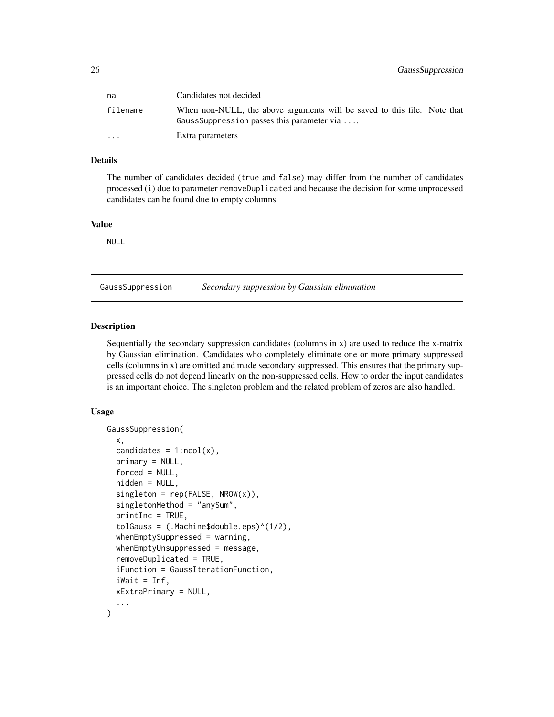<span id="page-25-0"></span>

| na                      | Candidates not decided                                                                                                 |
|-------------------------|------------------------------------------------------------------------------------------------------------------------|
| filename                | When non-NULL, the above arguments will be saved to this file. Note that<br>GaussSuppression passes this parameter via |
| $\cdot$ $\cdot$ $\cdot$ | Extra parameters                                                                                                       |

#### Details

The number of candidates decided (true and false) may differ from the number of candidates processed (i) due to parameter removeDuplicated and because the decision for some unprocessed candidates can be found due to empty columns.

#### Value

NULL

<span id="page-25-1"></span>GaussSuppression *Secondary suppression by Gaussian elimination*

#### Description

Sequentially the secondary suppression candidates (columns in x) are used to reduce the x-matrix by Gaussian elimination. Candidates who completely eliminate one or more primary suppressed cells (columns in x) are omitted and made secondary suppressed. This ensures that the primary suppressed cells do not depend linearly on the non-suppressed cells. How to order the input candidates is an important choice. The singleton problem and the related problem of zeros are also handled.

#### Usage

```
GaussSuppression(
  x,
  candidates = 1:ncol(x),
 primary = NULL,
  forced = NULL,
  hidden = NULL,
  singleton = rep(FALSE, NROW(x)),singletonMethod = "anySum",
  printInc = TRUE,
  tolGauss = (.Machine$double.eps)^(1/2),
  whenEmptySuppressed = warning,
  whenEmptyUnsuppressed = message,
  removeDuplicated = TRUE,
  iFunction = GaussIterationFunction,
  iWait = Inf,
  xExtraPrimary = NULL,
  ...
)
```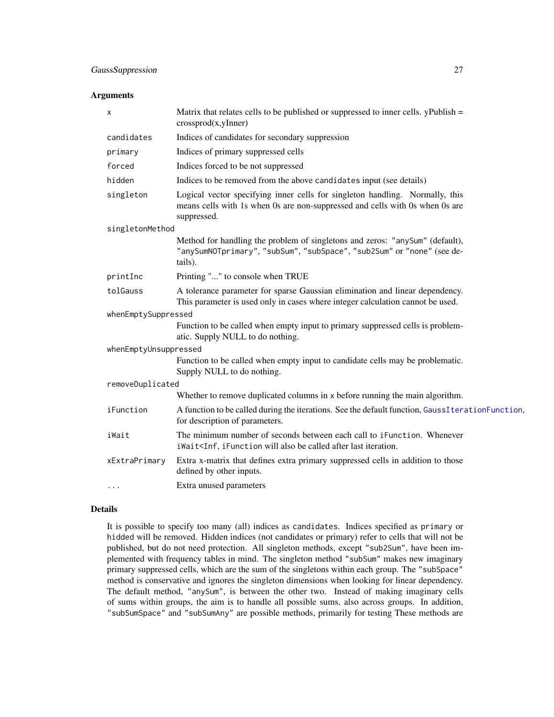#### <span id="page-26-0"></span>Arguments

| х                     | Matrix that relates cells to be published or suppressed to inner cells. $y$ Publish =<br>crossprod(x,yInner)                                                                     |  |
|-----------------------|----------------------------------------------------------------------------------------------------------------------------------------------------------------------------------|--|
| candidates            | Indices of candidates for secondary suppression                                                                                                                                  |  |
| primary               | Indices of primary suppressed cells                                                                                                                                              |  |
| forced                | Indices forced to be not suppressed                                                                                                                                              |  |
| hidden                | Indices to be removed from the above candidates input (see details)                                                                                                              |  |
| singleton             | Logical vector specifying inner cells for singleton handling. Normally, this<br>means cells with 1s when 0s are non-suppressed and cells with 0s when 0s are<br>suppressed.      |  |
| singletonMethod       |                                                                                                                                                                                  |  |
|                       | Method for handling the problem of singletons and zeros: "anySum" (default),<br>"anySumNOTprimary", "subSum", "subSpace", "sub2Sum" or "none" (see de-<br>tails).                |  |
| printInc              | Printing "" to console when TRUE                                                                                                                                                 |  |
| tolGauss              | A tolerance parameter for sparse Gaussian elimination and linear dependency.<br>This parameter is used only in cases where integer calculation cannot be used.                   |  |
| whenEmptySuppressed   |                                                                                                                                                                                  |  |
|                       | Function to be called when empty input to primary suppressed cells is problem-<br>atic. Supply NULL to do nothing.                                                               |  |
| whenEmptyUnsuppressed |                                                                                                                                                                                  |  |
|                       | Function to be called when empty input to candidate cells may be problematic.<br>Supply NULL to do nothing.                                                                      |  |
| removeDuplicated      |                                                                                                                                                                                  |  |
|                       | Whether to remove duplicated columns in x before running the main algorithm.                                                                                                     |  |
| iFunction             | A function to be called during the iterations. See the default function, GaussIterationFunction,<br>for description of parameters.                                               |  |
| iWait                 | The minimum number of seconds between each call to iFunction. Whenever<br>iWait <inf, after="" also="" be="" called="" ifunction="" iteration.<="" last="" td="" will=""></inf,> |  |
| xExtraPrimary         | Extra x-matrix that defines extra primary suppressed cells in addition to those<br>defined by other inputs.                                                                      |  |
|                       | Extra unused parameters                                                                                                                                                          |  |

#### Details

It is possible to specify too many (all) indices as candidates. Indices specified as primary or hidded will be removed. Hidden indices (not candidates or primary) refer to cells that will not be published, but do not need protection. All singleton methods, except "sub2Sum", have been implemented with frequency tables in mind. The singleton method "subSum" makes new imaginary primary suppressed cells, which are the sum of the singletons within each group. The "subSpace" method is conservative and ignores the singleton dimensions when looking for linear dependency. The default method, "anySum", is between the other two. Instead of making imaginary cells of sums within groups, the aim is to handle all possible sums, also across groups. In addition, "subSumSpace" and "subSumAny" are possible methods, primarily for testing These methods are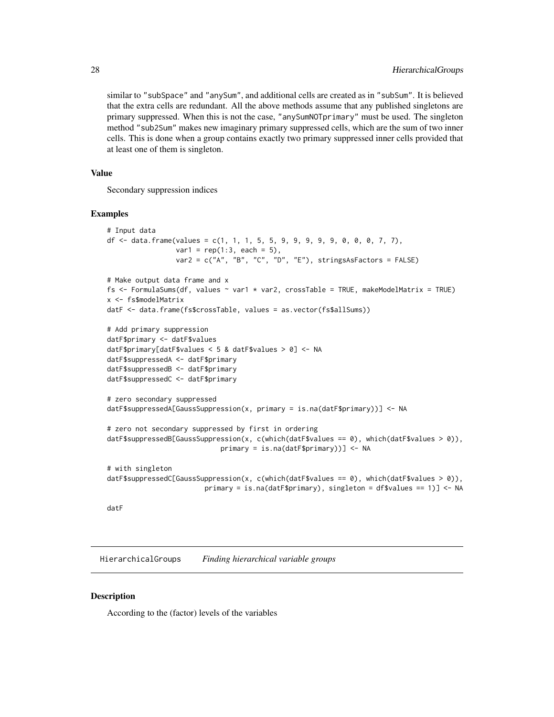similar to "subSpace" and "anySum", and additional cells are created as in "subSum". It is believed that the extra cells are redundant. All the above methods assume that any published singletons are primary suppressed. When this is not the case, "anySumNOTprimary" must be used. The singleton method "sub2Sum" makes new imaginary primary suppressed cells, which are the sum of two inner cells. This is done when a group contains exactly two primary suppressed inner cells provided that at least one of them is singleton.

#### Value

Secondary suppression indices

#### Examples

```
# Input data
df <- data.frame(values = c(1, 1, 1, 5, 5, 9, 9, 9, 9, 9, 0, 0, 0, 7, 7),
                 var1 = rep(1:3, each = 5),var2 = c("A", "B", "C", "D", "E"), stringsAsFactors = FALSE)
# Make output data frame and x
fs <- FormulaSums(df, values \sim var1 \star var2, crossTable = TRUE, makeModelMatrix = TRUE)
x <- fs$modelMatrix
datF <- data.frame(fs$crossTable, values = as.vector(fs$allSums))
# Add primary suppression
datF$primary <- datF$values
datF$primary[datF$values < 5 & datF$values > 0] <- NA
datF$suppressedA <- datF$primary
datF$suppressedB <- datF$primary
datF$suppressedC <- datF$primary
# zero secondary suppressed
datF$suppressedA[GaussSuppression(x, primary = is.na(datF$primary))] <- NA
# zero not secondary suppressed by first in ordering
datF$suppressedB[GaussSuppression(x, c(which(datF$values == 0), which(datF$values > 0)),
                            primary = is.na(datF$primary))] <- NA
# with singleton
datF$suppressedC[GaussSuppression(x, c(which(datF$values == 0), which(datF$values > 0)),
                        primary = is.na(datF$primary), singleton = df$values == 1)] <- NA
```
datF

HierarchicalGroups *Finding hierarchical variable groups*

#### **Description**

According to the (factor) levels of the variables

<span id="page-27-0"></span>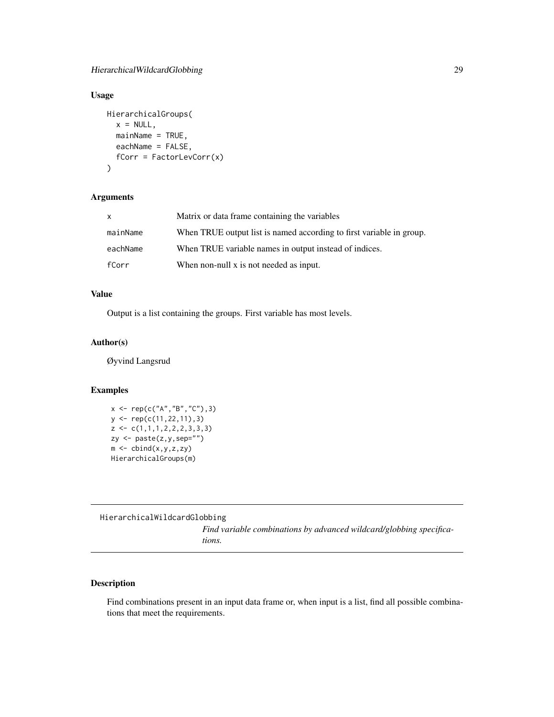### <span id="page-28-0"></span>Usage

```
HierarchicalGroups(
 x = NULL,mainName = TRUE,
 eachName = FALSE,
 fCorr = FactorLevCorr(x)
)
```
### Arguments

| $\mathsf{x}$ | Matrix or data frame containing the variables                        |
|--------------|----------------------------------------------------------------------|
| mainName     | When TRUE output list is named according to first variable in group. |
| eachName     | When TRUE variable names in output instead of indices.               |
| fCorr        | When non-null x is not needed as input.                              |

### Value

Output is a list containing the groups. First variable has most levels.

### Author(s)

Øyvind Langsrud

### Examples

```
x <- rep(c("A","B","C"),3)
y <- rep(c(11,22,11),3)
z \leftarrow c(1,1,1,2,2,2,3,3,3)zy <- paste(z,y,sep="")
m \leftarrow \text{cbind}(x,y,z,zy)HierarchicalGroups(m)
```
<span id="page-28-1"></span>HierarchicalWildcardGlobbing

*Find variable combinations by advanced wildcard/globbing specifications.*

### Description

Find combinations present in an input data frame or, when input is a list, find all possible combinations that meet the requirements.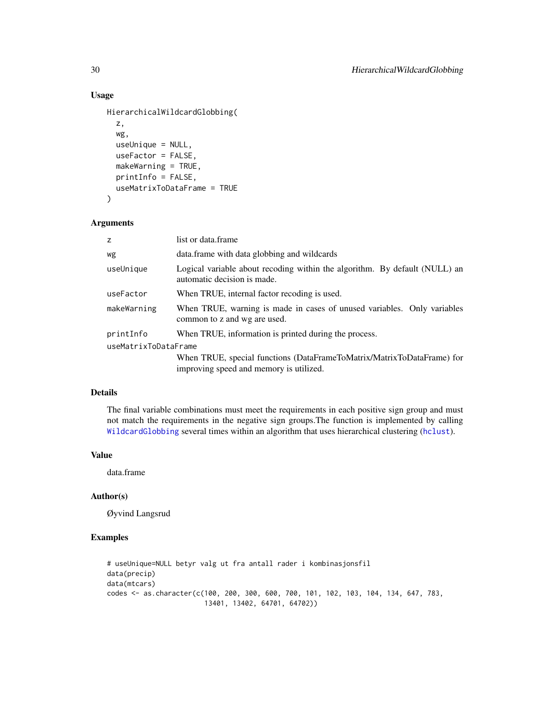### Usage

```
HierarchicalWildcardGlobbing(
  z,
  wg,
  useUnique = NULL,
  useFactor = FALSE,
 makeWarning = TRUE,
  printInfo = FALSE,
  useMatrixToDataFrame = TRUE
\mathcal{L}
```
#### Arguments

| Z                    | list or data.frame                                                                                                |  |
|----------------------|-------------------------------------------------------------------------------------------------------------------|--|
| wg                   | data.frame with data globbing and wildcards                                                                       |  |
| useUnique            | Logical variable about recoding within the algorithm. By default (NULL) an<br>automatic decision is made.         |  |
| useFactor            | When TRUE, internal factor recoding is used.                                                                      |  |
| makeWarning          | When TRUE, warning is made in cases of unused variables. Only variables<br>common to z and wg are used.           |  |
| printInfo            | When TRUE, information is printed during the process.                                                             |  |
| useMatrixToDataFrame |                                                                                                                   |  |
|                      | When TRUE, special functions (DataFrameToMatrix/MatrixToDataFrame) for<br>improving speed and memory is utilized. |  |

### Details

The final variable combinations must meet the requirements in each positive sign group and must not match the requirements in the negative sign groups.The function is implemented by calling [WildcardGlobbing](#page-64-1) several times within an algorithm that uses hierarchical clustering ([hclust](#page-0-0)).

### Value

data.frame

#### Author(s)

Øyvind Langsrud

```
# useUnique=NULL betyr valg ut fra antall rader i kombinasjonsfil
data(precip)
data(mtcars)
codes <- as.character(c(100, 200, 300, 600, 700, 101, 102, 103, 104, 134, 647, 783,
                        13401, 13402, 64701, 64702))
```
<span id="page-29-0"></span>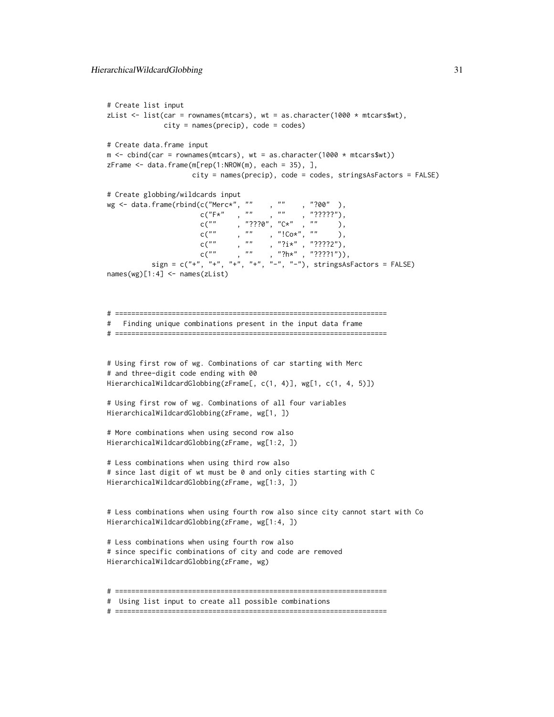```
# Create list input
zList \le list(car = rownames(mtcars), wt = as.character(1000 \star mtcars$wt),
                city = names(precip), code = codes)
# Create data.frame input
m \leftarrow \text{cbind}(\text{car} = \text{roundm}(\text{m} \cdot \text{r} \cdot \text{m} \cdot \text{m} \cdot \text{m} \cdot \text{m} \cdot \text{m} \cdot \text{m} \cdot \text{m} \cdot \text{m} \cdot \text{m} \cdot \text{m} \cdot \text{m} \cdot \text{m} \cdot \text{m} \cdot \text{m} \cdot \text{m} \cdot \text{m} \cdot \text{m} \cdot \text{m} \cdot \text{m} \cdot \text{m} \cdot \text{m} \cdot \text{m} \cdot \text{m} \cdot \text{m} \cdot \text{m} \cdot \text{m} \cdot \textzFrame \leq data.frame(m[rep(1:NROW(m), each = 35), ],
                         city = names(precip), code = codes, stringsAsFactors = FALSE)
# Create globbing/wildcards input
wg <- data.frame(rbind(c("Merc*", ""
                            c("F*" , " " , " " , " " ? ? ? ? ?"),c(""), "???0", "C*", ""),
                            c(""), "", "!Co*", ""),
                            c(""), "", "?i*", "????2"),
                            c(""), "", "?h*", "????1")),
             sign = c(" +", " +", " +", " +", " -", " -", " -"), stringsAsFactors = FALSE)names(wg)[1:4] <- names(zList)
# ===================================================================
# Finding unique combinations present in the input data frame
# ===================================================================
# Using first row of wg. Combinations of car starting with Merc
# and three-digit code ending with 00
HierarchicalWildcardGlobbing(zFrame[, c(1, 4)], wg[1, c(1, 4, 5)])
# Using first row of wg. Combinations of all four variables
HierarchicalWildcardGlobbing(zFrame, wg[1, ])
# More combinations when using second row also
HierarchicalWildcardGlobbing(zFrame, wg[1:2, ])
# Less combinations when using third row also
# since last digit of wt must be 0 and only cities starting with C
HierarchicalWildcardGlobbing(zFrame, wg[1:3, ])
# Less combinations when using fourth row also since city cannot start with Co
HierarchicalWildcardGlobbing(zFrame, wg[1:4, ])
# Less combinations when using fourth row also
# since specific combinations of city and code are removed
HierarchicalWildcardGlobbing(zFrame, wg)
# ===================================================================
# Using list input to create all possible combinations
```

```
# ===================================================================
```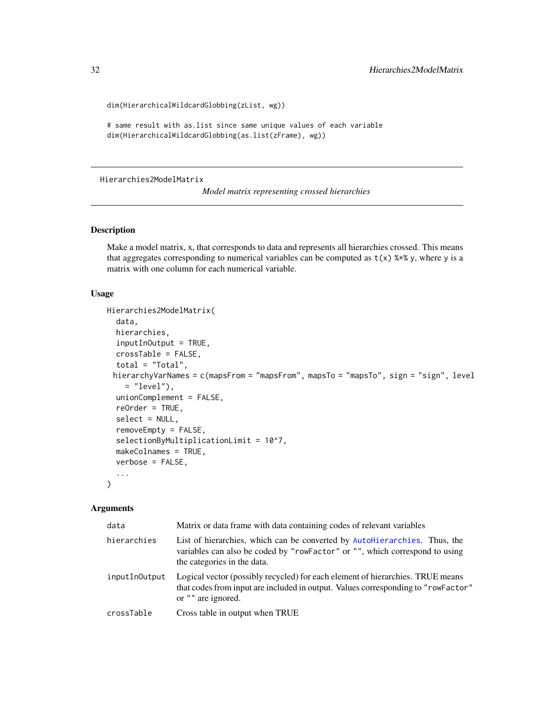```
dim(HierarchicalWildcardGlobbing(zList, wg))
```

```
# same result with as.list since same unique values of each variable
dim(HierarchicalWildcardGlobbing(as.list(zFrame), wg))
```
<span id="page-31-1"></span>Hierarchies2ModelMatrix

*Model matrix representing crossed hierarchies*

### Description

Make a model matrix, x, that corresponds to data and represents all hierarchies crossed. This means that aggregates corresponding to numerical variables can be computed as  $t(x)$  %\*% y, where y is a matrix with one column for each numerical variable.

#### Usage

```
Hierarchies2ModelMatrix(
  data,
  hierarchies,
  inputInOutput = TRUE,
  crossTable = FALSE,
  total = "Total",hierarchyVarNames = c(mapsFrom = "mapsFrom", mapsTo = "mapsTo", sign = "sign", level
    = "level"),
  unionComplement = FALSE,
  reOrder = TRUE,
  select = NULL,
  removeEmpty = FALSE,
  selectionByMultiplicationLimit = 10^7,
  makeColnames = TRUE,
  verbose = FALSE,
  ...
\lambda
```
### Arguments

| data          | Matrix or data frame with data containing codes of relevant variables                                                                                                                     |
|---------------|-------------------------------------------------------------------------------------------------------------------------------------------------------------------------------------------|
| hierarchies   | List of hierarchies, which can be converted by AutoHierarchies. Thus, the<br>variables can also be coded by "rowFactor" or "", which correspond to using<br>the categories in the data.   |
| inputInOutput | Logical vector (possibly recycled) for each element of hierarchies. TRUE means<br>that codes from input are included in output. Values corresponding to "rowFactor"<br>or "" are ignored. |
| crossTable    | Cross table in output when TRUE                                                                                                                                                           |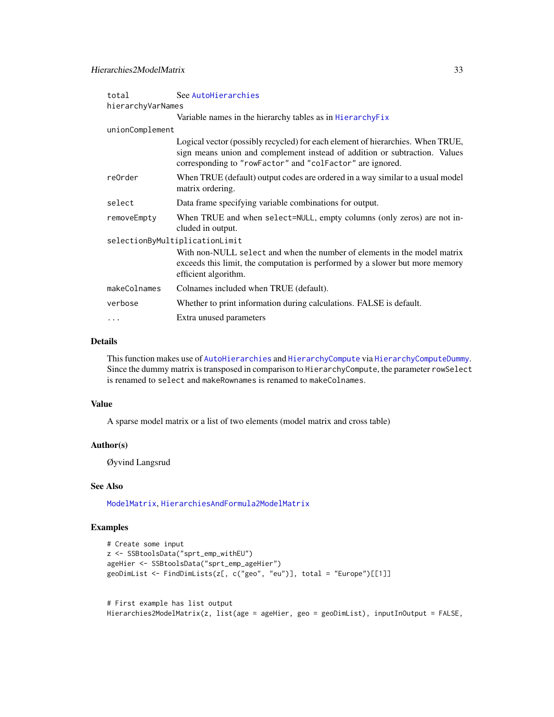<span id="page-32-0"></span>

| total                          | See AutoHierarchies                                                                                                                                                                                                       |  |
|--------------------------------|---------------------------------------------------------------------------------------------------------------------------------------------------------------------------------------------------------------------------|--|
| hierarchyVarNames              |                                                                                                                                                                                                                           |  |
|                                | Variable names in the hierarchy tables as in Hierarchy Fix                                                                                                                                                                |  |
| unionComplement                |                                                                                                                                                                                                                           |  |
|                                | Logical vector (possibly recycled) for each element of hierarchies. When TRUE,<br>sign means union and complement instead of addition or subtraction. Values<br>corresponding to "rowFactor" and "colFactor" are ignored. |  |
| re0rder                        | When TRUE (default) output codes are ordered in a way similar to a usual model<br>matrix ordering.                                                                                                                        |  |
| select                         | Data frame specifying variable combinations for output.                                                                                                                                                                   |  |
| removeEmpty                    | When TRUE and when select=NULL, empty columns (only zeros) are not in-<br>cluded in output.                                                                                                                               |  |
| selectionByMultiplicationLimit |                                                                                                                                                                                                                           |  |
|                                | With non-NULL select and when the number of elements in the model matrix<br>exceeds this limit, the computation is performed by a slower but more memory<br>efficient algorithm.                                          |  |
| makeColnames                   | Colnames included when TRUE (default).                                                                                                                                                                                    |  |
| verbose                        | Whether to print information during calculations. FALSE is default.                                                                                                                                                       |  |
| .                              | Extra unused parameters                                                                                                                                                                                                   |  |

### Details

This function makes use of [AutoHierarchies](#page-3-1) and [HierarchyCompute](#page-37-1) via [HierarchyComputeDummy](#page-0-0). Since the dummy matrix is transposed in comparison to HierarchyCompute, the parameter rowSelect is renamed to select and makeRownames is renamed to makeColnames.

#### Value

A sparse model matrix or a list of two elements (model matrix and cross table)

### Author(s)

Øyvind Langsrud

### See Also

[ModelMatrix](#page-52-1), [HierarchiesAndFormula2ModelMatrix](#page-33-1)

### Examples

```
# Create some input
z <- SSBtoolsData("sprt_emp_withEU")
ageHier <- SSBtoolsData("sprt_emp_ageHier")
geoDimList <- FindDimLists(z[, c("geo", "eu")], total = "Europe")[[1]]
```
# First example has list output Hierarchies2ModelMatrix(z, list(age = ageHier, geo = geoDimList), inputInOutput = FALSE,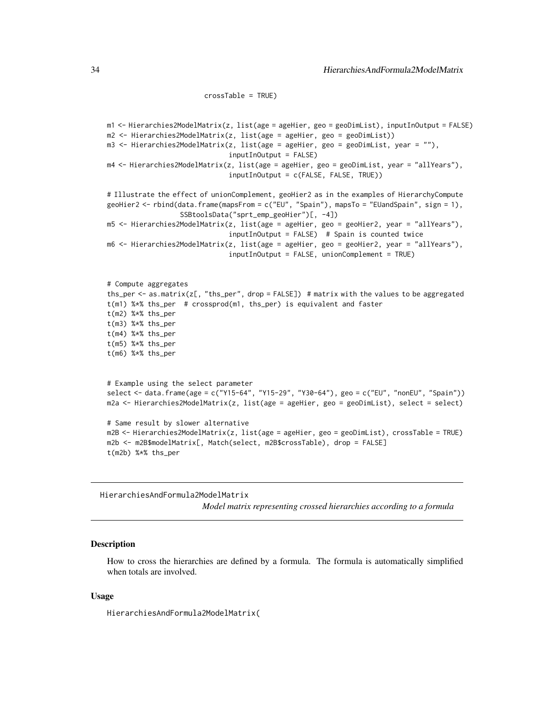```
crossTable = TRUE)
```

```
m1 <- Hierarchies2ModelMatrix(z, list(age = ageHier, geo = geoDimList), inputInOutput = FALSE)
m2 <- Hierarchies2ModelMatrix(z, list(age = ageHier, geo = geoDimList))
m3 <- Hierarchies2ModelMatrix(z, list(age = ageHier, geo = geoDimList, year = ""),
                              inputInOutput = FALSE)
m4 <- Hierarchies2ModelMatrix(z, list(age = ageHier, geo = geoDimList, year = "allYears"),
                              inputInOutput = c(FALSE, FALSE, TRUE))
# Illustrate the effect of unionComplement, geoHier2 as in the examples of HierarchyCompute
geoHier2 <- rbind(data.frame(mapsFrom = c("EU", "Spain"), mapsTo = "EUandSpain", sign = 1),
                  SSBtoolsData("sprt_emp_geoHier")[, -4])
m5 <- Hierarchies2ModelMatrix(z, list(age = ageHier, geo = geoHier2, year = "allYears"),
                               inputInOutput = FALSE) # Spain is counted twice
m6 <- Hierarchies2ModelMatrix(z, list(age = ageHier, geo = geoHier2, year = "allYears"),
                              inputInOutput = FALSE, unionComplement = TRUE)
# Compute aggregates
ths_per <- as.matrix(z[, "ths_per", drop = FALSE]) # matrix with the values to be aggregated
t(m1) %*% ths_per # crossprod(m1, ths_per) is equivalent and faster
t(m2) %*% ths_per
t(m3) %*% ths_per
t(m4) %*% ths_per
t(m5) %*% ths_per
t(m6) %*% ths_per
# Example using the select parameter
select <- data.frame(age = c("Y15-64", "Y15-29", "Y30-64"), geo = c("EU", "nonEU", "Spain"))
m2a <- Hierarchies2ModelMatrix(z, list(age = ageHier, geo = geoDimList), select = select)
# Same result by slower alternative
m2B <- Hierarchies2ModelMatrix(z, list(age = ageHier, geo = geoDimList), crossTable = TRUE)
m2b <- m2B$modelMatrix[, Match(select, m2B$crossTable), drop = FALSE]
t(m2b) %*% ths_per
```
<span id="page-33-1"></span>HierarchiesAndFormula2ModelMatrix *Model matrix representing crossed hierarchies according to a formula*

#### **Description**

How to cross the hierarchies are defined by a formula. The formula is automatically simplified when totals are involved.

#### Usage

HierarchiesAndFormula2ModelMatrix(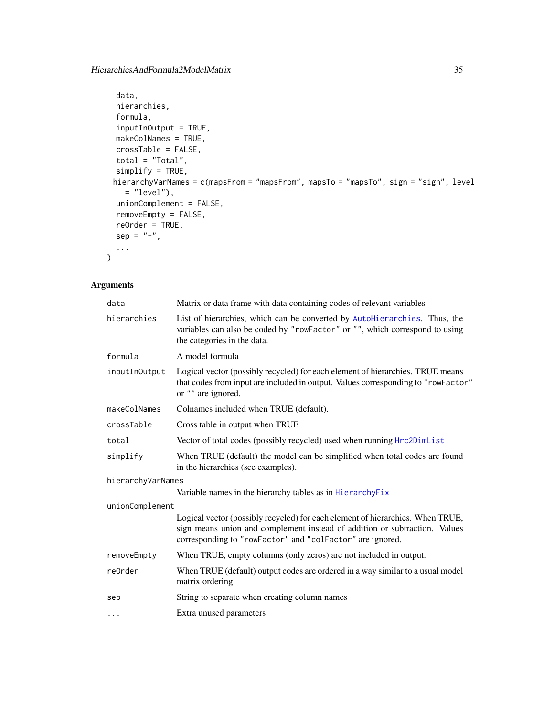```
data,
 hierarchies,
  formula,
  inputInOutput = TRUE,
 makeColNames = TRUE,
 crossTable = FALSE,
  total = "Total",simplify = TRUE,
 hierarchyVarNames = c(mapsFrom = "mapsFrom", mapsTo = "mapsTo", sign = "sign", level
   = "level"),
 unionComplement = FALSE,
  removeEmpty = FALSE,
 reOrder = TRUE,
 sep = ''-"....
)
```
### Arguments

| data              | Matrix or data frame with data containing codes of relevant variables                                                                                                                                                     |
|-------------------|---------------------------------------------------------------------------------------------------------------------------------------------------------------------------------------------------------------------------|
| hierarchies       | List of hierarchies, which can be converted by AutoHierarchies. Thus, the<br>variables can also be coded by "rowFactor" or "", which correspond to using<br>the categories in the data.                                   |
| formula           | A model formula                                                                                                                                                                                                           |
| inputIn0utput     | Logical vector (possibly recycled) for each element of hierarchies. TRUE means<br>that codes from input are included in output. Values corresponding to "rowFactor"<br>or "" are ignored.                                 |
| makeColNames      | Colnames included when TRUE (default).                                                                                                                                                                                    |
| crossTable        | Cross table in output when TRUE                                                                                                                                                                                           |
| total             | Vector of total codes (possibly recycled) used when running Hrc2DimList                                                                                                                                                   |
| simplify          | When TRUE (default) the model can be simplified when total codes are found<br>in the hierarchies (see examples).                                                                                                          |
| hierarchyVarNames |                                                                                                                                                                                                                           |
|                   | Variable names in the hierarchy tables as in Hierarchy Fix                                                                                                                                                                |
| unionComplement   |                                                                                                                                                                                                                           |
|                   | Logical vector (possibly recycled) for each element of hierarchies. When TRUE,<br>sign means union and complement instead of addition or subtraction. Values<br>corresponding to "rowFactor" and "colFactor" are ignored. |
| removeEmpty       | When TRUE, empty columns (only zeros) are not included in output.                                                                                                                                                         |
| re0rder           | When TRUE (default) output codes are ordered in a way similar to a usual model<br>matrix ordering.                                                                                                                        |
| sep               | String to separate when creating column names                                                                                                                                                                             |
| $\cdots$          | Extra unused parameters                                                                                                                                                                                                   |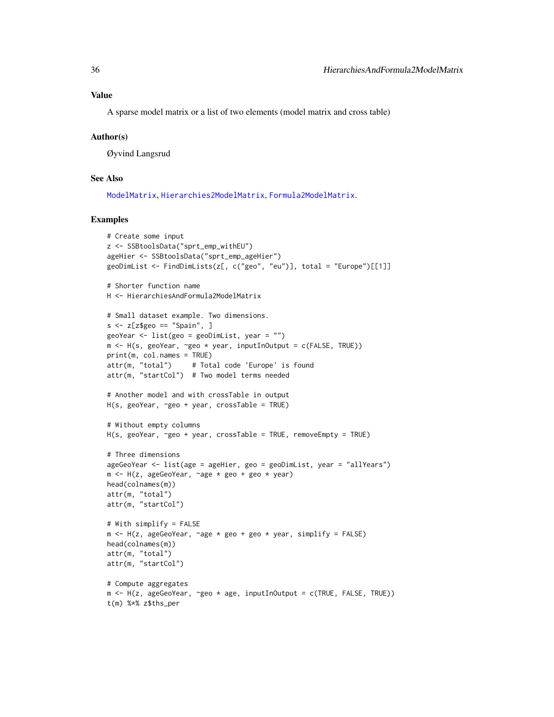#### <span id="page-35-0"></span>Value

A sparse model matrix or a list of two elements (model matrix and cross table)

#### Author(s)

Øyvind Langsrud

### See Also

[ModelMatrix](#page-52-1), [Hierarchies2ModelMatrix](#page-31-1), [Formula2ModelMatrix](#page-21-1).

```
# Create some input
z <- SSBtoolsData("sprt_emp_withEU")
ageHier <- SSBtoolsData("sprt_emp_ageHier")
geoDimList <- FindDimLists(z[, c("geo", "eu")], total = "Europe")[[1]]
# Shorter function name
H <- HierarchiesAndFormula2ModelMatrix
# Small dataset example. Two dimensions.
s \leq z[z$geo == "Spain", ]
geoYear <- list(geo = geoDimList, year = "")
m <- H(s, geoYear, ~geo * year, inputInOutput = c(FALSE, TRUE))
print(m, col.names = TRUE)
attr(m, "total") # Total code 'Europe' is found
attr(m, "startCol") # Two model terms needed
# Another model and with crossTable in output
H(s, geoYear, ~geo + year, crossTable = TRUE)
# Without empty columns
H(s, geoYear, ~geo + year, crossTable = TRUE, removeEmpty = TRUE)
# Three dimensions
ageGeoYear <- list(age = ageHier, geo = geoDimList, year = "allYears")
m <- H(z, ageGeoYear, ~age * geo + geo * year)
head(colnames(m))
attr(m, "total")
attr(m, "startCol")
# With simplify = FALSE
m <- H(z, ageGeoYear, ~age * geo + geo * year, simplify = FALSE)
head(colnames(m))
attr(m, "total")
attr(m, "startCol")# Compute aggregates
m <- H(z, ageGeoYear, ~geo * age, inputInOutput = c(TRUE, FALSE, TRUE))
t(m) %*% z$ths_per
```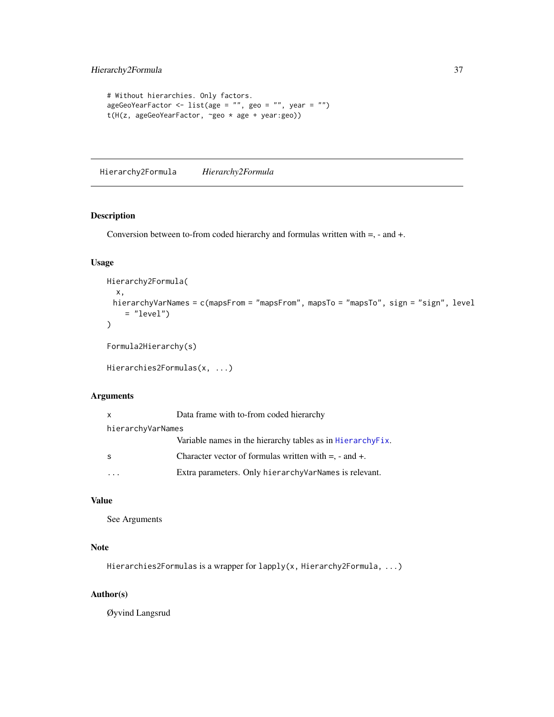```
# Without hierarchies. Only factors.
ageGeoYearFactor <- list(age = "", geo = "", year = "")
t(H(z, ageGeoYearFactor, ~geo * age + year:geo))
```
<span id="page-36-1"></span>Hierarchy2Formula *Hierarchy2Formula*

#### Description

Conversion between to-from coded hierarchy and formulas written with =, - and +.

#### Usage

```
Hierarchy2Formula(
  x,
 hierarchyVarNames = c(mapsFrom = "mapsFrom", mapsTo = "mapsTo", sign = "sign", level
    = "level")
\mathcal{E}Formula2Hierarchy(s)
```

```
Hierarchies2Formulas(x, ...)
```
#### Arguments

| X                 | Data frame with to-from coded hierarchy                       |
|-------------------|---------------------------------------------------------------|
| hierarchyVarNames |                                                               |
|                   | Variable names in the hierarchy tables as in HierarchyFix.    |
| -S                | Character vector of formulas written with $=$ , $-$ and $+$ . |
|                   | Extra parameters. Only hierarchy VarNames is relevant.        |

### Value

See Arguments

### Note

Hierarchies2Formulas is a wrapper for lapply(x, Hierarchy2Formula, ...)

### Author(s)

Øyvind Langsrud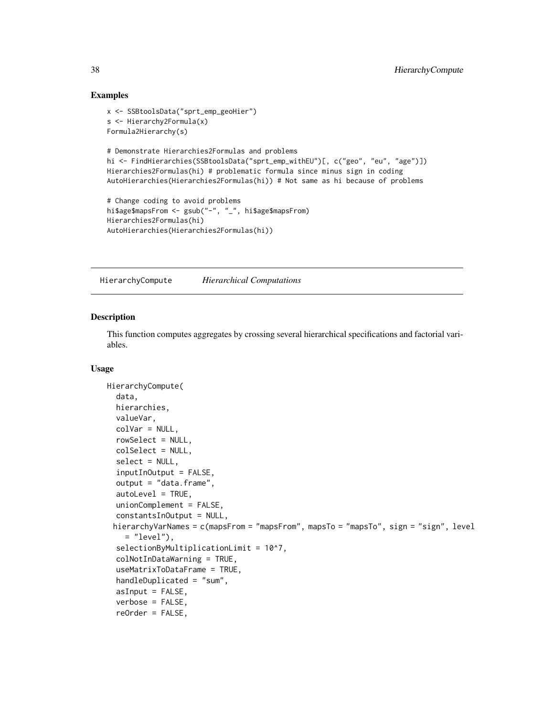#### Examples

```
x <- SSBtoolsData("sprt_emp_geoHier")
s <- Hierarchy2Formula(x)
Formula2Hierarchy(s)
# Demonstrate Hierarchies2Formulas and problems
hi <- FindHierarchies(SSBtoolsData("sprt_emp_withEU")[, c("geo", "eu", "age")])
Hierarchies2Formulas(hi) # problematic formula since minus sign in coding
AutoHierarchies(Hierarchies2Formulas(hi)) # Not same as hi because of problems
# Change coding to avoid problems
hi$age$mapsFrom <- gsub("-", "_", hi$age$mapsFrom)
Hierarchies2Formulas(hi)
AutoHierarchies(Hierarchies2Formulas(hi))
```
<span id="page-37-1"></span>HierarchyCompute *Hierarchical Computations*

#### Description

This function computes aggregates by crossing several hierarchical specifications and factorial variables.

### Usage

```
HierarchyCompute(
  data,
 hierarchies,
  valueVar,
  colVar = NULL,
  rowSelect = NULL,
  colSelect = NULL,
  select = NULL,
  inputInOutput = FALSE,
  output = "data.frame",
  autoLevel = TRUE,
 unionComplement = FALSE,
  constantsInOutput = NULL,
 hierarchyVarNames = c(mapsFrom = "mapsFrom", mapsTo = "mapsTo", sign = "sign", level
    = "level"),
  selectionByMultiplicationLimit = 10^7,
  colNotInDataWarning = TRUE,
  useMatrixToDataFrame = TRUE,
  handleDuplicated = "sum",
  asInput = FALSE,verbose = FALSE,
  reOrder = FALSE,
```
<span id="page-37-0"></span>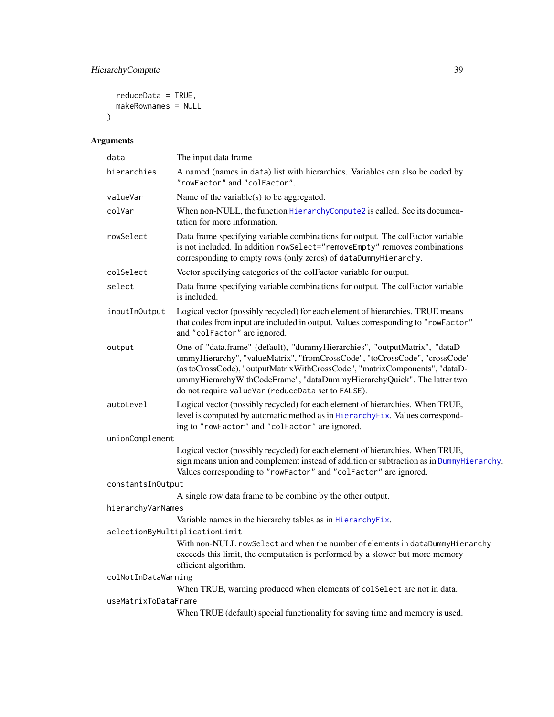### <span id="page-38-0"></span>HierarchyCompute 39

```
reduceData = TRUE,
 makeRownames = NULL
)
```
### Arguments

| data                 | The input data frame                                                                                                                                                                                                                                                                                                                                                   |
|----------------------|------------------------------------------------------------------------------------------------------------------------------------------------------------------------------------------------------------------------------------------------------------------------------------------------------------------------------------------------------------------------|
| hierarchies          | A named (names in data) list with hierarchies. Variables can also be coded by<br>"rowFactor" and "colFactor".                                                                                                                                                                                                                                                          |
| valueVar             | Name of the variable( $s$ ) to be aggregated.                                                                                                                                                                                                                                                                                                                          |
| colVar               | When non-NULL, the function HierarchyCompute2 is called. See its documen-<br>tation for more information.                                                                                                                                                                                                                                                              |
| rowSelect            | Data frame specifying variable combinations for output. The colFactor variable<br>is not included. In addition rowSelect="removeEmpty" removes combinations<br>corresponding to empty rows (only zeros) of dataDummyHierarchy.                                                                                                                                         |
| colSelect            | Vector specifying categories of the colFactor variable for output.                                                                                                                                                                                                                                                                                                     |
| select               | Data frame specifying variable combinations for output. The colFactor variable<br>is included.                                                                                                                                                                                                                                                                         |
| inputInOutput        | Logical vector (possibly recycled) for each element of hierarchies. TRUE means<br>that codes from input are included in output. Values corresponding to "rowFactor"<br>and "colFactor" are ignored.                                                                                                                                                                    |
| output               | One of "data.frame" (default), "dummyHierarchies", "outputMatrix", "dataD-<br>ummyHierarchy", "valueMatrix", "fromCrossCode", "toCrossCode", "crossCode"<br>(as toCrossCode), "outputMatrixWithCrossCode", "matrixComponents", "dataD-<br>ummyHierarchyWithCodeFrame", "dataDummyHierarchyQuick". The latter two<br>do not require valueVar (reduceData set to FALSE). |
| autoLevel            | Logical vector (possibly recycled) for each element of hierarchies. When TRUE,<br>level is computed by automatic method as in HierarchyFix. Values correspond-<br>ing to "rowFactor" and "colFactor" are ignored.                                                                                                                                                      |
| unionComplement      |                                                                                                                                                                                                                                                                                                                                                                        |
|                      | Logical vector (possibly recycled) for each element of hierarchies. When TRUE,<br>sign means union and complement instead of addition or subtraction as in DummyHierarchy.<br>Values corresponding to "rowFactor" and "colFactor" are ignored.                                                                                                                         |
| constantsInOutput    |                                                                                                                                                                                                                                                                                                                                                                        |
|                      | A single row data frame to be combine by the other output.                                                                                                                                                                                                                                                                                                             |
| hierarchyVarNames    |                                                                                                                                                                                                                                                                                                                                                                        |
|                      | Variable names in the hierarchy tables as in HierarchyFix.                                                                                                                                                                                                                                                                                                             |
|                      | selectionByMultiplicationLimit<br>With non-NULL rowSelect and when the number of elements in dataDummyHierarchy<br>exceeds this limit, the computation is performed by a slower but more memory<br>efficient algorithm.                                                                                                                                                |
| colNotInDataWarning  |                                                                                                                                                                                                                                                                                                                                                                        |
|                      | When TRUE, warning produced when elements of colselect are not in data.                                                                                                                                                                                                                                                                                                |
| useMatrixToDataFrame |                                                                                                                                                                                                                                                                                                                                                                        |
|                      | When TRUE (default) special functionality for saving time and memory is used.                                                                                                                                                                                                                                                                                          |
|                      |                                                                                                                                                                                                                                                                                                                                                                        |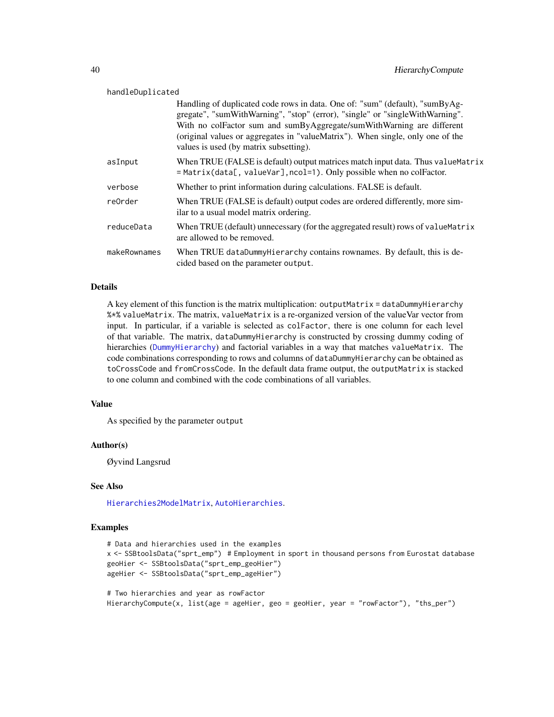<span id="page-39-0"></span>

| handleDuplicated |                                                                                                                                                                                                                                                                                                                                                                   |  |
|------------------|-------------------------------------------------------------------------------------------------------------------------------------------------------------------------------------------------------------------------------------------------------------------------------------------------------------------------------------------------------------------|--|
|                  | Handling of duplicated code rows in data. One of: "sum" (default), "sumByAg-<br>gregate", "sumWithWarning", "stop" (error), "single" or "singleWithWarning".<br>With no colFactor sum and sumByAggregate/sumWithWarning are different<br>(original values or aggregates in "valueMatrix"). When single, only one of the<br>values is used (by matrix subsetting). |  |
| asInput          | When TRUE (FALSE is default) output matrices match input data. Thus value Matrix<br>= Matrix(data[, valueVar], ncol=1). Only possible when no colFactor.                                                                                                                                                                                                          |  |
| verbose          | Whether to print information during calculations. FALSE is default.                                                                                                                                                                                                                                                                                               |  |
| re0rder          | When TRUE (FALSE is default) output codes are ordered differently, more sim-<br>ilar to a usual model matrix ordering.                                                                                                                                                                                                                                            |  |
| reduceData       | When TRUE (default) unnecessary (for the aggregated result) rows of value Matrix<br>are allowed to be removed.                                                                                                                                                                                                                                                    |  |
| makeRownames     | When TRUE dataDummyHierarchy contains rownames. By default, this is de-<br>cided based on the parameter output.                                                                                                                                                                                                                                                   |  |

#### Details

A key element of this function is the matrix multiplication: outputMatrix = dataDummyHierarchy %\*% valueMatrix. The matrix, valueMatrix is a re-organized version of the valueVar vector from input. In particular, if a variable is selected as colFactor, there is one column for each level of that variable. The matrix, dataDummyHierarchy is constructed by crossing dummy coding of hierarchies ([DummyHierarchy](#page-11-1)) and factorial variables in a way that matches valueMatrix. The code combinations corresponding to rows and columns of dataDummyHierarchy can be obtained as toCrossCode and fromCrossCode. In the default data frame output, the outputMatrix is stacked to one column and combined with the code combinations of all variables.

#### Value

As specified by the parameter output

#### Author(s)

Øyvind Langsrud

### See Also

[Hierarchies2ModelMatrix](#page-31-1), [AutoHierarchies](#page-3-1).

```
# Data and hierarchies used in the examples
x <- SSBtoolsData("sprt_emp") # Employment in sport in thousand persons from Eurostat database
geoHier <- SSBtoolsData("sprt_emp_geoHier")
ageHier <- SSBtoolsData("sprt_emp_ageHier")
```

```
# Two hierarchies and year as rowFactor
HierarchyCompute(x, list(age = ageHier, geo = geoHier, year = "rowFactor"), "ths_per")
```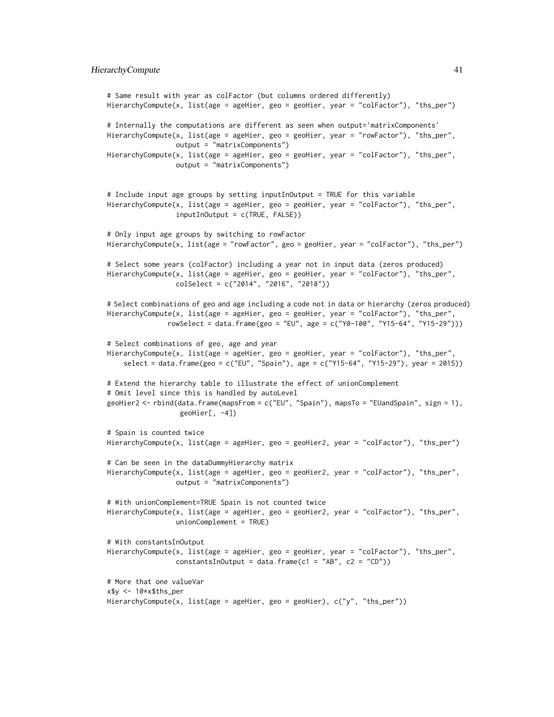```
# Same result with year as colFactor (but columns ordered differently)
HierarchyCompute(x, list(age = ageHier, geo = geoHier, year = "colFactor"), "ths_per")
# Internally the computations are different as seen when output='matrixComponents'
HierarchyCompute(x, list(age = ageHier, geo = geoHier, year = "rowFactor"), "ths_per",
                 output = "matrixComponents")
HierarchyCompute(x, list(age = ageHier, geo = geoHier, year = "colFactor"), "ths_per",
                 output = "matrixComponents")
# Include input age groups by setting inputInOutput = TRUE for this variable
HierarchyCompute(x, list(age = ageHier, geo = geoHier, year = "colFactor"), "ths_per",
                 inputInOutput = c(TRUE, FALSE))
# Only input age groups by switching to rowFactor
HierarchyCompute(x, list(age = "rowFactor", geo = geoHier, year = "colFactor"), "ths_per")
# Select some years (colFactor) including a year not in input data (zeros produced)
HierarchyCompute(x, list(age = ageHier, geo = geoHier, year = "colFactor"), "ths_per",
                 colSelect = c("2014", "2016", "2018"))
# Select combinations of geo and age including a code not in data or hierarchy (zeros produced)
HierarchyCompute(x, list(age = ageHier, geo = geoHier, year = "colFactor"), "ths_per",
               rowSelect = data.frame(geo = "EU", age = c("Y0-100", "Y15-64", "Y15-29")))
# Select combinations of geo, age and year
HierarchyCompute(x, list(age = ageHier, geo = geoHier, year = "colFactor"), "ths_per",
    select = data.frame(geo = c("EU", "Spain"), age = c("Y15-64", "Y15-29"), year = 2015))
# Extend the hierarchy table to illustrate the effect of unionComplement
# Omit level since this is handled by autoLevel
geoHier2 <- rbind(data.frame(mapsFrom = c("EU", "Spain"), mapsTo = "EUandSpain", sign = 1),
                  geoHier[, -4])
# Spain is counted twice
HierarchyCompute(x, list(age = ageHier, geo = geoHier2, year = "colFactor"), "ths_per")
# Can be seen in the dataDummyHierarchy matrix
HierarchyCompute(x, list(age = ageHier, geo = geoHier2, year = "colFactor"), "ths_per",
                 output = "matrixComponents")
# With unionComplement=TRUE Spain is not counted twice
HierarchyCompute(x, list(age = ageHier, geo = geoHier2, year = "colFactor"), "ths_per",
                 unionComplement = TRUE)
# With constantsInOutput
HierarchyCompute(x, list(age = ageHier, geo = geoHier, year = "colFactor"), "ths_per",
                 constantsInOutput = data.frame(c1 = "AB", c2 = "CD"))
# More that one valueVar
x$y <- 10*x$ths_per
HierarchyCompute(x, list(age = ageHier, geo = geoHier), c("y", "ths_per"))
```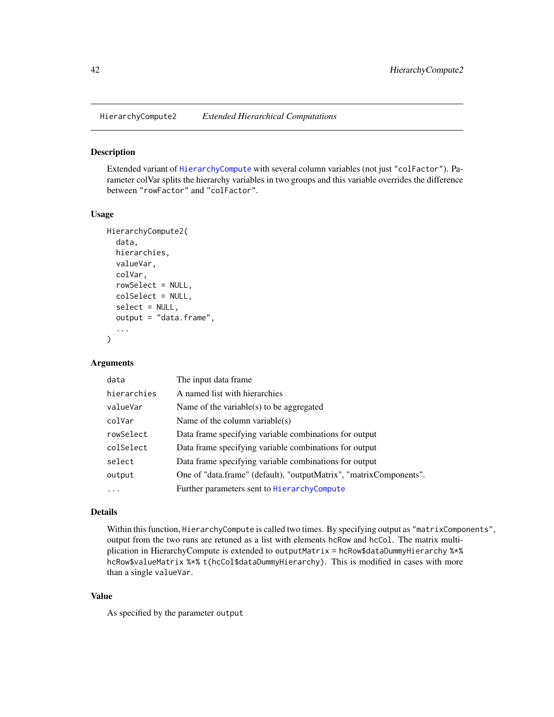<span id="page-41-1"></span><span id="page-41-0"></span>

#### Description

Extended variant of [HierarchyCompute](#page-37-1) with several column variables (not just "colFactor"). Parameter colVar splits the hierarchy variables in two groups and this variable overrides the difference between "rowFactor" and "colFactor".

#### Usage

```
HierarchyCompute2(
  data,
  hierarchies,
  valueVar,
  colVar,
  rowSelect = NULL,
  colSelect = NULL,
  select = NULL,output = "data.frame",
  ...
)
```
#### Arguments

| data        | The input data frame.                                              |
|-------------|--------------------------------------------------------------------|
| hierarchies | A named list with hierarchies                                      |
| valueVar    | Name of the variable(s) to be aggregated                           |
| colVar      | Name of the column variable $(s)$                                  |
| rowSelect   | Data frame specifying variable combinations for output             |
| colSelect   | Data frame specifying variable combinations for output             |
| select      | Data frame specifying variable combinations for output             |
| output      | One of "data.frame" (default), "outputMatrix", "matrixComponents". |
|             | Further parameters sent to HierarchyCompute                        |
|             |                                                                    |

### Details

Within this function, HierarchyCompute is called two times. By specifying output as "matrixComponents", output from the two runs are retuned as a list with elements hcRow and hcCol. The matrix multiplication in HierarchyCompute is extended to outputMatrix = hcRow\$dataDummyHierarchy %\*% hcRow\$valueMatrix %\*% t(hcCol\$dataDummyHierarchy). This is modified in cases with more than a single valueVar.

### Value

As specified by the parameter output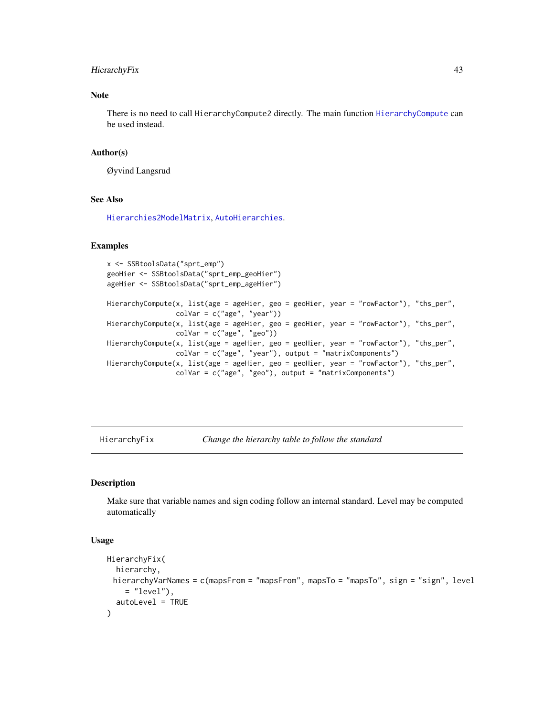### <span id="page-42-0"></span>HierarchyFix 43

### Note

There is no need to call HierarchyCompute2 directly. The main function [HierarchyCompute](#page-37-1) can be used instead.

#### Author(s)

Øyvind Langsrud

### See Also

[Hierarchies2ModelMatrix](#page-31-1), [AutoHierarchies](#page-3-1).

#### Examples

```
x <- SSBtoolsData("sprt_emp")
geoHier <- SSBtoolsData("sprt_emp_geoHier")
ageHier <- SSBtoolsData("sprt_emp_ageHier")
HierarchyCompute(x, list(age = ageHier, geo = geoHier, year = "rowFactor"), "ths_per",
                 colVar = c("age", "year"))
HierarchyCompute(x, list(age = ageHier, geo = geoHier, year = "rowFactor"), "ths_per",
                 colVar = c("age", "geo"))HierarchyCompute(x, list(age = ageHier, geo = geoHier, year = "rowFactor"), "ths_per",
                 colVar = c("age", "year"), output = "matrixComponents")
HierarchyCompute(x, list(age = ageHier, geo = geoHier, year = "rowFactor"), "ths_per",
                 colVar = c("age", "geo"), output = "matrixComponents")
```
<span id="page-42-1"></span>HierarchyFix *Change the hierarchy table to follow the standard*

### Description

Make sure that variable names and sign coding follow an internal standard. Level may be computed automatically

#### Usage

```
HierarchyFix(
 hierarchy,
 hierarchyVarNames = c(mapsFrom = "mapsFrom", mapsTo = "mapsTo", sign = "sign", level
    = "level"),
  autoLevel = TRUE
)
```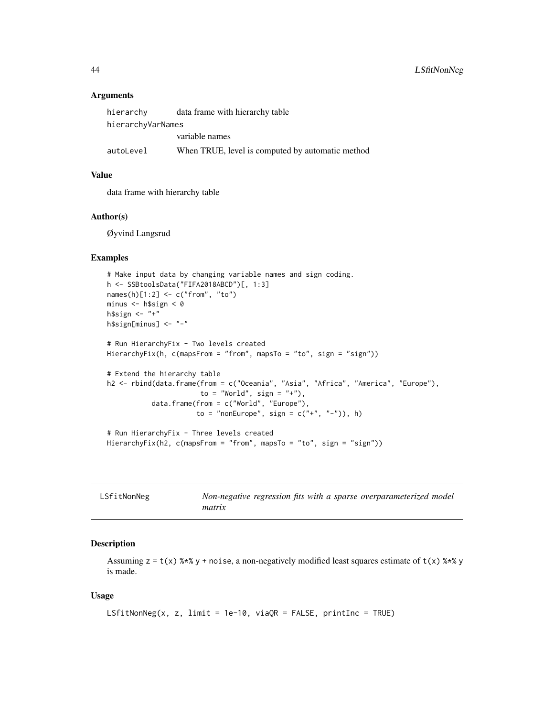#### **Arguments**

| hierarchy         | data frame with hierarchy table                  |  |
|-------------------|--------------------------------------------------|--|
| hierarchyVarNames |                                                  |  |
|                   | variable names                                   |  |
| autoLevel         | When TRUE, level is computed by automatic method |  |

### Value

data frame with hierarchy table

#### Author(s)

Øyvind Langsrud

#### Examples

```
# Make input data by changing variable names and sign coding.
h <- SSBtoolsData("FIFA2018ABCD")[, 1:3]
names(h)[1:2] <- c("from", "to")
minus <- h$sign < 0
h$sign <- "+"
h$sign[minus] <- "-"
# Run HierarchyFix - Two levels created
HierarchyFix(h, c(mapsFrom = "from", mapsTo = "to", sign = "sign"))
# Extend the hierarchy table
h2 <- rbind(data.frame(from = c("Oceania", "Asia", "Africa", "America", "Europe"),
                       to = "World", sign = "+"),
           data.frame(from = c("World", "Europe"),
                      to = "nonEurope", sign = c("''", "''"), h)
# Run HierarchyFix - Three levels created
HierarchyFix(h2, c(mapsFrom = "from", mapsTo = "to", sign = "sign"))
```

| LSfitNonNeg | Non-negative regression fits with a sparse overparameterized model |
|-------------|--------------------------------------------------------------------|
|             | matrix                                                             |

### Description

Assuming  $z = t(x)$  %\*% y + noise, a non-negatively modified least squares estimate of  $t(x)$  %\*% y is made.

#### Usage

```
LSfitNonNeg(x, z, limit = 1e-10, viaQR = FALSE, printInc = TRUE)
```
<span id="page-43-0"></span>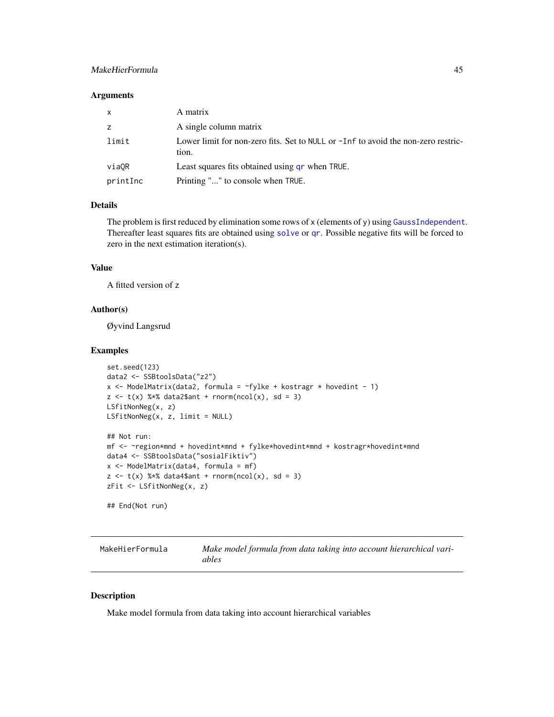### <span id="page-44-0"></span>MakeHierFormula 45

#### **Arguments**

| $\mathsf{x}$ | A matrix                                                                                      |
|--------------|-----------------------------------------------------------------------------------------------|
| z            | A single column matrix                                                                        |
| limit        | Lower limit for non-zero fits. Set to NULL or $-I$ nf to avoid the non-zero restric-<br>tion. |
| viaOR        | Least squares fits obtained using a r when TRUE.                                              |
| printInc     | Printing "" to console when TRUE.                                                             |

#### Details

The problem is first reduced by elimination some rows of x (elements of y) using [GaussIndependent](#page-23-1). Thereafter least squares fits are obtained using [solve](#page-0-0) or [qr](#page-0-0). Possible negative fits will be forced to zero in the next estimation iteration(s).

#### Value

A fitted version of z

### Author(s)

Øyvind Langsrud

#### Examples

```
set.seed(123)
data2 <- SSBtoolsData("z2")
x \le ModelMatrix(data2, formula = \gammafylke + kostragr * hovedint - 1)
z \leq t(x) %*% data2$ant + rnorm(ncol(x), sd = 3)
LSfitNonNeg(x, z)
LSfitNonNeg(x, z, limit = NULL)
## Not run:
mf <- ~region*mnd + hovedint*mnd + fylke*hovedint*mnd + kostragr*hovedint*mnd
data4 <- SSBtoolsData("sosialFiktiv")
x \leq ModelMatrix(data4, formula = mf)
z \leq t(x) %*% data4$ant + rnorm(ncol(x), sd = 3)
zFit <- LSfitNonNeg(x, z)
## End(Not run)
```
MakeHierFormula *Make model formula from data taking into account hierarchical variables*

#### Description

Make model formula from data taking into account hierarchical variables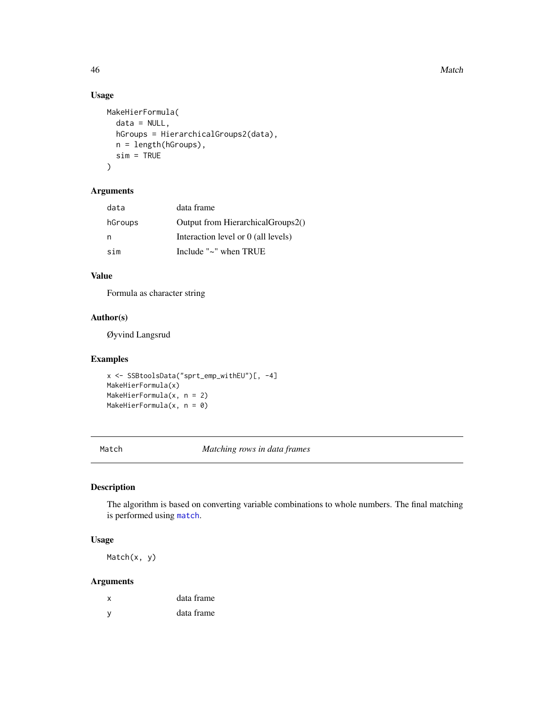46 Match 2008 and 2008 and 2008 and 2008 and 2008 and 2008 and 2008 and 2008 and 2008 and 2008 and 2008 and 200

### Usage

```
MakeHierFormula(
  data = NULL,
  hGroups = HierarchicalGroups2(data),
  n = length(hGroups),
  sim = TRUE\mathcal{L}
```
#### Arguments

| data    | data frame                          |
|---------|-------------------------------------|
| hGroups | Output from Hierarchical Groups 2() |
| n       | Interaction level or 0 (all levels) |
| sim     | Include " $\sim$ " when TRUE        |

### Value

Formula as character string

#### Author(s)

Øyvind Langsrud

### Examples

```
x <- SSBtoolsData("sprt_emp_withEU")[, -4]
MakeHierFormula(x)
MakeHierFormula(x, n = 2)
MakeHierFormula(x, n = 0)
```
Match *Matching rows in data frames*

### Description

The algorithm is based on converting variable combinations to whole numbers. The final matching is performed using [match](#page-0-0).

### Usage

Match(x, y)

### Arguments

| x            | data frame |
|--------------|------------|
| <sub>y</sub> | data frame |

<span id="page-45-0"></span>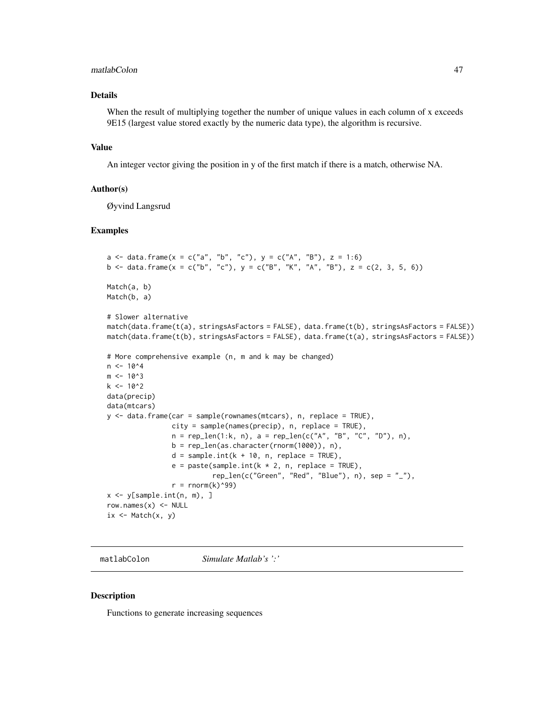#### <span id="page-46-0"></span>matlabColon 47

### Details

When the result of multiplying together the number of unique values in each column of x exceeds 9E15 (largest value stored exactly by the numeric data type), the algorithm is recursive.

#### Value

An integer vector giving the position in y of the first match if there is a match, otherwise NA.

#### Author(s)

Øyvind Langsrud

### Examples

```
a <- data.frame(x = c("a", "b", "c"), y = c("A", "B"), z = 1:6)
b <- data.frame(x = c("b", "c"), y = c("B", "K", "A", "B"), z = c(2, 3, 5, 6))
Match(a, b)
Match(b, a)
# Slower alternative
match(data.frame(t(a), stringsAsFactors = FALSE), data.frame(t(b), stringsAsFactors = FALSE))
match(data.frame(t(b), stringsAsFactors = FALSE), data.frame(t(a), stringsAsFactors = FALSE))
# More comprehensive example (n, m and k may be changed)
n < -10<sup>4</sup>m < -10^3k <- 10^2
data(precip)
data(mtcars)
y \le - data.frame(car = sample(rownames(mtcars), n, replace = TRUE),
                city = sample(names(precip), n, replace = TRUE),
                n = rep\_len(1:k, n), a = rep\_len(c("A", "B", "C", "D"), n),b = rep\_len(as.character(rnorm(1000)), n),d = sample.int(k + 10, n, replace = TRUE),e = paste(sample.int(k * 2, n, replace = TRUE),
                           rep\_len(c("Green", "Red", "Blue"), n), sep = "__"),
                r = \text{rnorm}(k) ^99)
x \le y[sample.int(n, m), ]
row.names(x) <- NULL
ix \leq Match(x, y)
```
matlabColon *Simulate Matlab's ':'*

#### **Description**

Functions to generate increasing sequences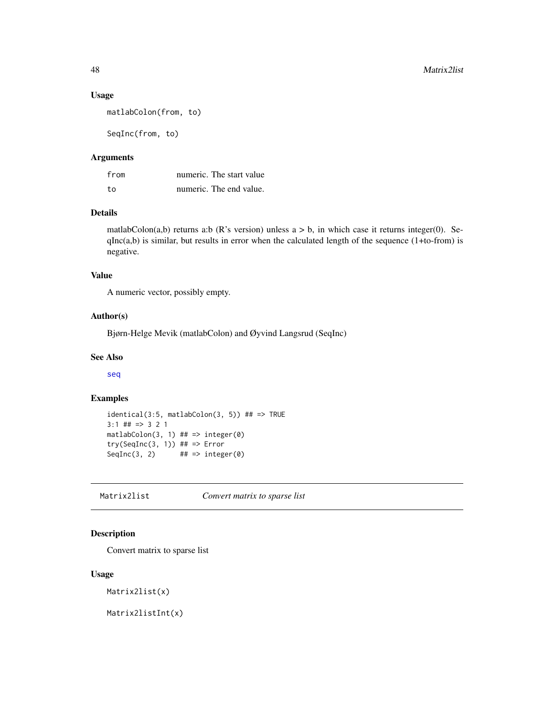### <span id="page-47-0"></span>Usage

matlabColon(from, to)

SeqInc(from, to)

#### Arguments

| from | numeric. The start value |
|------|--------------------------|
| to   | numeric. The end value.  |

#### Details

matlabColon(a,b) returns a:b (R's version) unless  $a > b$ , in which case it returns integer(0). Se $qInc(a,b)$  is similar, but results in error when the calculated length of the sequence  $(1+to-from)$  is negative.

### Value

A numeric vector, possibly empty.

### Author(s)

Bjørn-Helge Mevik (matlabColon) and Øyvind Langsrud (SeqInc)

#### See Also

[seq](#page-0-0)

### Examples

```
identical(3:5, matlabColon(3, 5)) ## => TRUE
3:1 ## => 3 2 1
mathcal{O}(3, 1) ## => integer(0)
try(SeqInc(3, 1)) ## => Error
SeqInc(3, 2) \# \# \Rightarrow integer(0)
```
Matrix2list *Convert matrix to sparse list*

### Description

Convert matrix to sparse list

#### Usage

Matrix2list(x)

Matrix2listInt(x)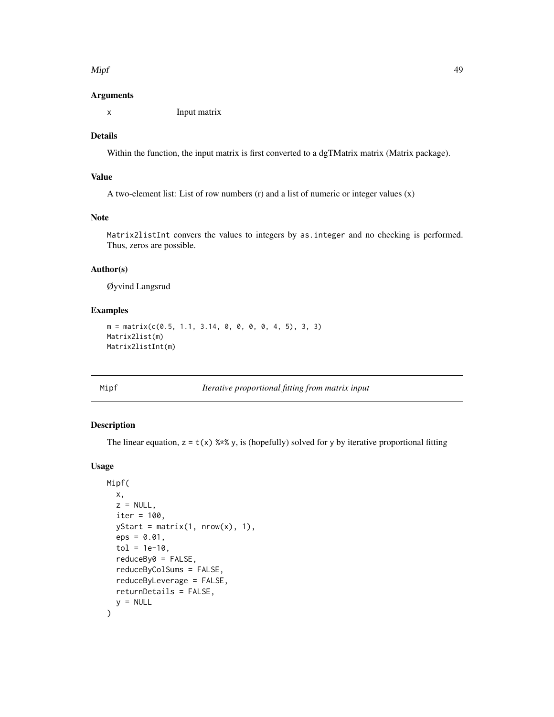#### <span id="page-48-0"></span>Mipf the contract of the contract of the contract of the contract of the contract of the contract of the contract of the contract of the contract of the contract of the contract of the contract of the contract of the contr

#### Arguments

x Input matrix

### Details

Within the function, the input matrix is first converted to a dgTMatrix matrix (Matrix package).

#### Value

A two-element list: List of row numbers (r) and a list of numeric or integer values (x)

#### Note

Matrix2listInt convers the values to integers by as.integer and no checking is performed. Thus, zeros are possible.

#### Author(s)

Øyvind Langsrud

#### Examples

```
m = matrix(c(0.5, 1.1, 3.14, 0, 0, 0, 0, 4, 5), 3, 3)Matrix2list(m)
Matrix2listInt(m)
```
Mipf *Iterative proportional fitting from matrix input*

#### Description

The linear equation,  $z = t(x)$  %\*% y, is (hopefully) solved for y by iterative proportional fitting

#### Usage

```
Mipf(
  x,
 z = NULL,iter = 100,
  yStart = matrix(1, nrow(x), 1),eps = 0.01,tol = 1e-10,reduceBy0 = FALSE,
  reduceByColSums = FALSE,
  reduceByLeverage = FALSE,
  returnDetails = FALSE,
  y = NULL\mathcal{E}
```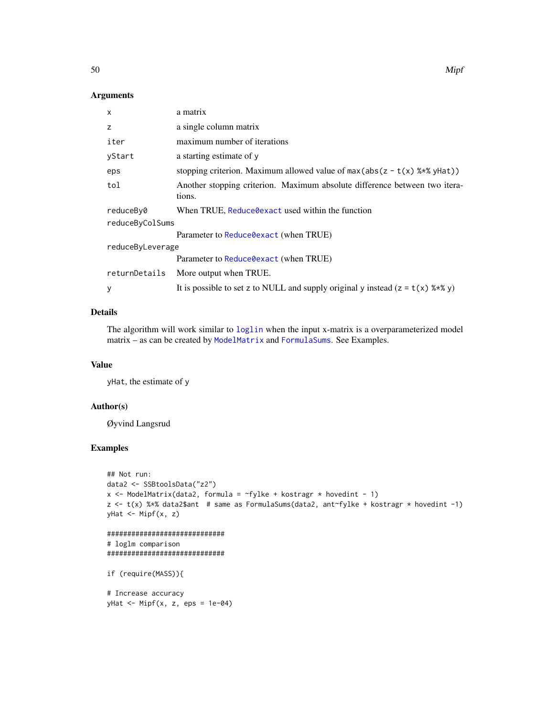#### <span id="page-49-0"></span>Arguments

| X                | a matrix                                                                             |  |
|------------------|--------------------------------------------------------------------------------------|--|
| z                | a single column matrix                                                               |  |
| iter             | maximum number of iterations                                                         |  |
| yStart           | a starting estimate of y                                                             |  |
| eps              | stopping criterion. Maximum allowed value of $max(abs(z - t(x) \$ ** y Hat))         |  |
| tol              | Another stopping criterion. Maximum absolute difference between two itera-<br>tions. |  |
| reduceBy0        | When TRUE, Reduce Oexact used within the function                                    |  |
| reduceByColSums  |                                                                                      |  |
|                  | Parameter to Reduce Oexact (when TRUE)                                               |  |
| reduceByLeverage |                                                                                      |  |
|                  | Parameter to Reduce Oexact (when TRUE)                                               |  |
| returnDetails    | More output when TRUE.                                                               |  |
| y                | It is possible to set z to NULL and supply original y instead $(z = t(x)$ %*% y)     |  |

### Details

The algorithm will work similar to [loglin](#page-0-0) when the input x-matrix is a overparameterized model matrix – as can be created by [ModelMatrix](#page-52-1) and [FormulaSums](#page-21-2). See Examples.

#### Value

yHat, the estimate of y

#### Author(s)

Øyvind Langsrud

```
## Not run:
data2 <- SSBtoolsData("z2")
x <- ModelMatrix(data2, formula = ~fylke + kostragr * hovedint - 1)
z \leq t(x) %*% data2$ant # same as FormulaSums(data2, ant~fylke + kostragr * hovedint -1)
yHat <- Mipf(x, z)
```

```
#############################
# loglm comparison
#############################
```

```
if (require(MASS)){
```

```
# Increase accuracy
yHat \leq Mipf(x, z, eps = 1e-04)
```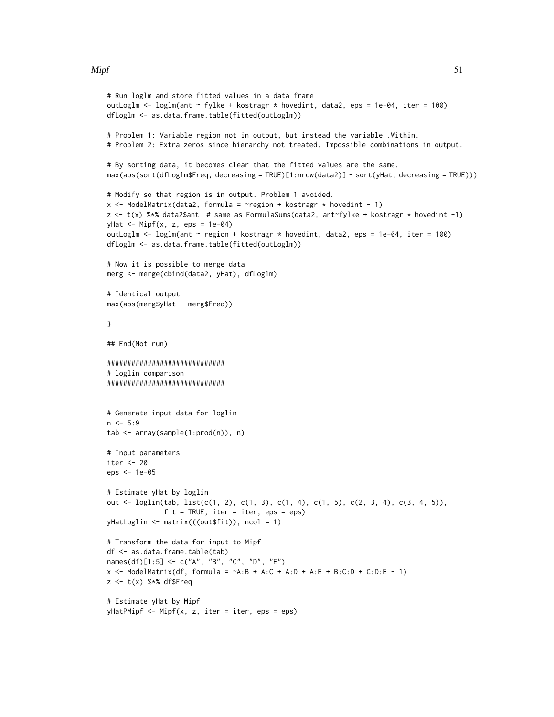#### $Mipf$  51

```
# Run loglm and store fitted values in a data frame
outLoglm <- loglm(ant ~ fylke + kostragr * hovedint, data2, eps = 1e-04, iter = 100)
dfLoglm <- as.data.frame.table(fitted(outLoglm))
# Problem 1: Variable region not in output, but instead the variable .Within.
# Problem 2: Extra zeros since hierarchy not treated. Impossible combinations in output.
# By sorting data, it becomes clear that the fitted values are the same.
max(abs(sort(dfLoglm$Freq, decreasing = TRUE)[1:nrow(data2)] - sort(yHat, decreasing = TRUE)))
# Modify so that region is in output. Problem 1 avoided.
x \le ModelMatrix(data2, formula = \gammaregion + kostragr * hovedint - 1)
z \leq t(x) %*% data2$ant # same as FormulaSums(data2, ant~fylke + kostragr * hovedint -1)
yHat <- Mipf(x, z, eps = 1e-04)
outLoglm <- loglm(ant ~ region + kostragr * hovedint, data2, eps = 1e-04, iter = 100)
dfLoglm <- as.data.frame.table(fitted(outLoglm))
# Now it is possible to merge data
merg <- merge(cbind(data2, yHat), dfLoglm)
# Identical output
max(abs(merg$yHat - merg$Freq))
}
## End(Not run)
#############################
# loglin comparison
#############################
# Generate input data for loglin
n <- 5:9
tab <- array(sample(1:prod(n)), n)
# Input parameters
iter <- 20
eps <- 1e-05
# Estimate yHat by loglin
out <- loglin(tab, list(c(1, 2), c(1, 3), c(1, 4), c(1, 5), c(2, 3, 4), c(3, 4, 5)),
              fit = TRUE, iter = iter, eps = eps)
yHatLoglin <- matrix(((out$fit)), ncol = 1)
# Transform the data for input to Mipf
df <- as.data.frame.table(tab)
names(df)[1:5] <- c("A", "B", "C", "D", "E")
x <- ModelMatrix(df, formula = \simA:B + A:C + A:D + A:E + B:C:D + C:D:E - 1)
z \leq t(x) %*% df$Freq
# Estimate yHat by Mipf
yHatPMipf <- Mipf(x, z, iter = iter, eps = eps)
```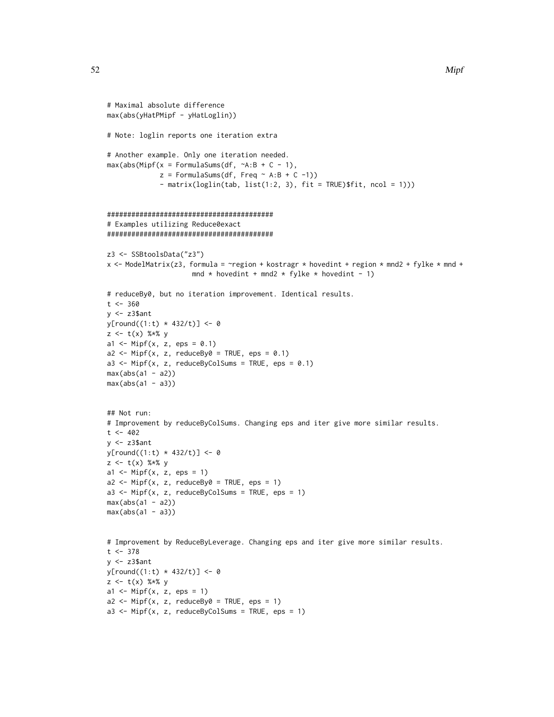```
# Maximal absolute difference
max(abs(yHatPMipf - yHatLoglin))
# Note: loglin reports one iteration extra
# Another example. Only one iteration needed.
max(abs(Mipf(x = FormulaSums(df, \neg A:B + C - 1)),z = FormulaSums(df, Freq \sim A:B + C -1))
             - matrix(loglin(tab, list(1:2, 3), fit = TRUE)$fit, ncol = 1)))
#########################################
# Examples utilizing Reduce0exact
#########################################
z3 <- SSBtoolsData("z3")
x <- ModelMatrix(z3, formula = ~region + kostragr * hovedint + region * mnd2 + fylke * mnd +
                     mnd * hovedint + mnd2 * fylke * hovedint - 1)
# reduceBy0, but no iteration improvement. Identical results.
t < -360y <- z3$ant
y[round((1:t) * 432/t)] < -0z \leq t(x) %*% y
a1 <- Mipf(x, z, eps = 0.1)a2 \leq Mipf(x, z, reduceBy0 = TRUE, eps = 0.1)a3 <- Mipf(x, z, reduceByColSums = TRUE, eps = 0.1)
max(abs(a1 - a2))max(abs(a1 - a3))## Not run:
# Improvement by reduceByColSums. Changing eps and iter give more similar results.
t < -402y <- z3$ant
y[round((1:t) * 432/t)] <- 0
z \leq t(x) %*% y
a1 <- Mipf(x, z, eps = 1)a2 \le - Mipf(x, z, reduceBy0 = TRUE, eps = 1)
a3 \leq Mipf(x, z, reduceByColSums = TRUE, eps = 1)max(abs(a1 - a2))max(abs(a1 - a3))# Improvement by ReduceByLeverage. Changing eps and iter give more similar results.
t < -378y \leq z3$ant
y[round((1:t) * 432/t)] < -0z \leq t(x) %*% y
a1 \leftarrow Mipf(x, z, eps = 1)
a2 \leq Mipf(x, z, reduceBy0 = TRUE, eps = 1)a3 <- Mipf(x, z, reduceByColSums = TRUE, eps = 1)
```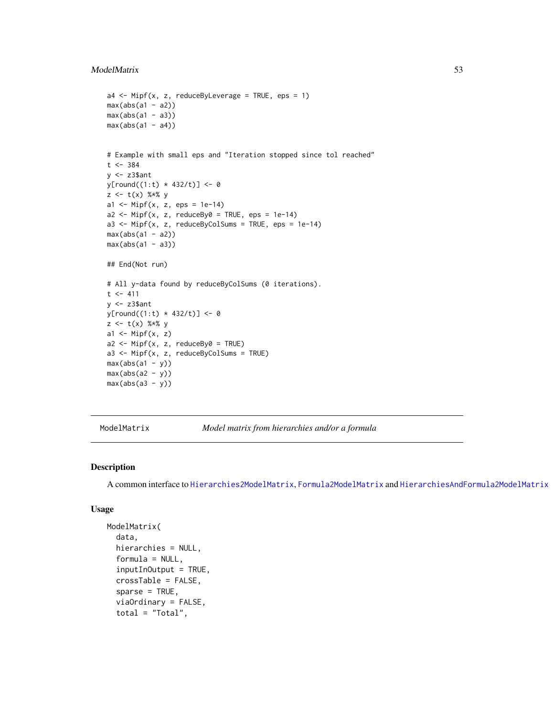#### <span id="page-52-0"></span>ModelMatrix 53

```
a4 \leq Mipf(x, z, reduceByLeverage = TRUE, eps = 1)max(abs(a1 - a2))max(abs(a1 - a3))max(abs(a1 - a4))# Example with small eps and "Iteration stopped since tol reached"
t < -384y <- z3$ant
y[round((1:t) * 432/t)] < -0z <- t(x) %*% y
a1 <- Mipf(x, z, eps = 1e-14)a2 \leq Mipf(x, z, reduceBy0 = TRUE, eps = 1e-14)a3 \leq Mipf(x, z, reduceByColSums = TRUE, eps = 1e-14)max(abs(a1 - a2))max(abs(a1 - a3))## End(Not run)
# All y-data found by reduceByColSums (0 iterations).
t < -411y <- z3$ant
y[round((1:t) * 432/t)] < -0z \leq t(x) %*% y
a1 \leftarrow Mipf(x, z)a2 \leq Mipf(x, z, reduceBy0 = TRUE)a3 \leq Mipf(x, z, reduceByColSums = TRUE)max(abs(a1 - y))max(abs(a2 - y))max(abs(a3 - y))
```
<span id="page-52-1"></span>

ModelMatrix *Model matrix from hierarchies and/or a formula*

#### Description

A common interface to [Hierarchies2ModelMatrix](#page-31-1), [Formula2ModelMatrix](#page-21-1) and [HierarchiesAndFormula2ModelMatrix](#page-33-1)

#### Usage

```
ModelMatrix(
  data,
  hierarchies = NULL,
  formula = NULL,inputInOutput = TRUE,
  crossTable = FALSE,
  sparse = TRUE,viaOrdinary = FALSE,
  total = "Total",
```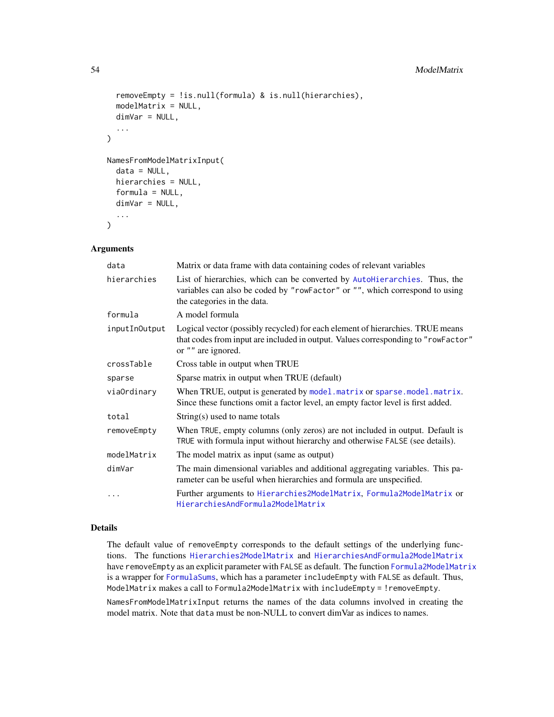```
removeEmpty = !is.null(formula) & is.null(hierarchies),
  modelMatrix = NULL,
  dimVar = NULL,
  ...
\mathcal{L}NamesFromModelMatrixInput(
  data = NULL,hierarchies = NULL,
  formula = NULL,
  dimVar = NULL,...
)
```
### Arguments

| data          | Matrix or data frame with data containing codes of relevant variables                                                                                                                     |
|---------------|-------------------------------------------------------------------------------------------------------------------------------------------------------------------------------------------|
| hierarchies   | List of hierarchies, which can be converted by AutoHierarchies. Thus, the<br>variables can also be coded by "rowFactor" or "", which correspond to using<br>the categories in the data.   |
| formula       | A model formula                                                                                                                                                                           |
| inputInOutput | Logical vector (possibly recycled) for each element of hierarchies. TRUE means<br>that codes from input are included in output. Values corresponding to "rowFactor"<br>or "" are ignored. |
| crossTable    | Cross table in output when TRUE                                                                                                                                                           |
| sparse        | Sparse matrix in output when TRUE (default)                                                                                                                                               |
| viaOrdinary   | When TRUE, output is generated by model. matrix or sparse. model. matrix.<br>Since these functions omit a factor level, an empty factor level is first added.                             |
| total         | String(s) used to name totals                                                                                                                                                             |
| removeEmpty   | When TRUE, empty columns (only zeros) are not included in output. Default is<br>TRUE with formula input without hierarchy and otherwise FALSE (see details).                              |
| modelMatrix   | The model matrix as input (same as output)                                                                                                                                                |
| dimVar        | The main dimensional variables and additional aggregating variables. This pa-<br>rameter can be useful when hierarchies and formula are unspecified.                                      |
|               | Further arguments to Hierarchies2ModelMatrix, Formula2ModelMatrix or<br>HierarchiesAndFormula2ModelMatrix                                                                                 |

### Details

The default value of removeEmpty corresponds to the default settings of the underlying functions. The functions [Hierarchies2ModelMatrix](#page-31-1) and [HierarchiesAndFormula2ModelMatrix](#page-33-1) have removeEmpty as an explicit parameter with FALSE as default. The function [Formula2ModelMatrix](#page-21-1) is a wrapper for [FormulaSums](#page-21-2), which has a parameter includeEmpty with FALSE as default. Thus, ModelMatrix makes a call to Formula2ModelMatrix with includeEmpty = !removeEmpty.

NamesFromModelMatrixInput returns the names of the data columns involved in creating the model matrix. Note that data must be non-NULL to convert dimVar as indices to names.

<span id="page-53-0"></span>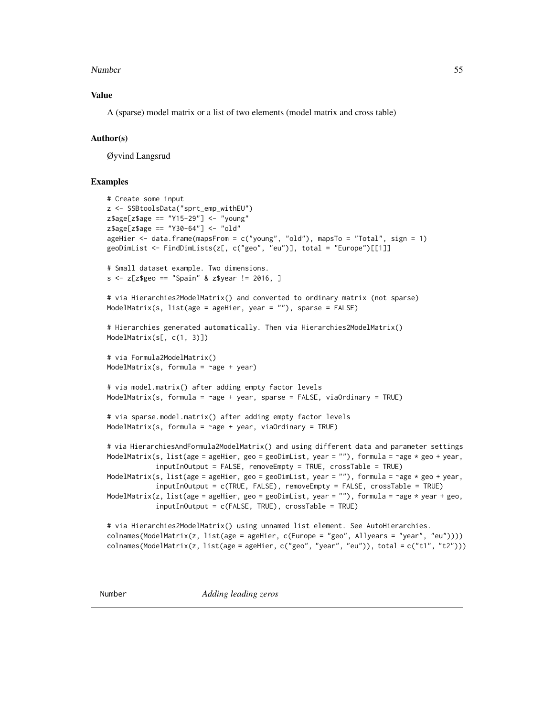#### <span id="page-54-0"></span>Number 55

#### Value

A (sparse) model matrix or a list of two elements (model matrix and cross table)

#### Author(s)

Øyvind Langsrud

```
# Create some input
z <- SSBtoolsData("sprt_emp_withEU")
z$age[z$age == "Y15-29"] <- "young"
z$age[z$age == "Y30-64"] <- "old"
ageHier <- data.frame(mapsFrom = c("young", "old"), mapsTo = "Total", sign = 1)
geoDimList <- FindDimLists(z[, c("geo", "eu")], total = "Europe")[[1]]
# Small dataset example. Two dimensions.
s \le z[z$geo == "Spain" & z$year != 2016, ]
# via Hierarchies2ModelMatrix() and converted to ordinary matrix (not sparse)
ModelMatrix(s, list(age = ageHier, year = ""), sparse = FALSE)
# Hierarchies generated automatically. Then via Hierarchies2ModelMatrix()
ModelMatrix(s[, c(1, 3)])
# via Formula2ModelMatrix()
ModelMatrix(s, formula = \simage + year)
# via model.matrix() after adding empty factor levels
ModelMatrix(s, formula = \simage + year, sparse = FALSE, viaOrdinary = TRUE)
# via sparse.model.matrix() after adding empty factor levels
ModelMatrix(s, formula = \simage + year, viaOrdinary = TRUE)
# via HierarchiesAndFormula2ModelMatrix() and using different data and parameter settings
ModelMatrix(s, list(age = ageHier, geo = geoDimList, year = ""), formula = ~age * geo + year,
            inputInOutput = FALSE, removeEmpty = TRUE, crossTable = TRUE)
ModelMatrix(s, list(age = ageHier, geo = geoDimList, year = ""), formula = ~age * geo + year,
            inputInOutput = c(TRUE, FALSE), removeEmpty = FALSE, crossTable = TRUE)
ModelMatrix(z, list(age = ageHier, geo = geoDimList, year = ""), formula = ~age * year + geo,
            inputInOutput = c(FALSE, TRUE), crossTable = TRUE)# via Hierarchies2ModelMatrix() using unnamed list element. See AutoHierarchies.
colnames(ModelMatrix(z, list(age = ageHier, c(Europe = "geo", Allyears = "year", "eu"))))
colnames(ModelMatrix(z, list(age = ageHier, c("geo", "year", "eu")), total = c("t1", "t2")))
```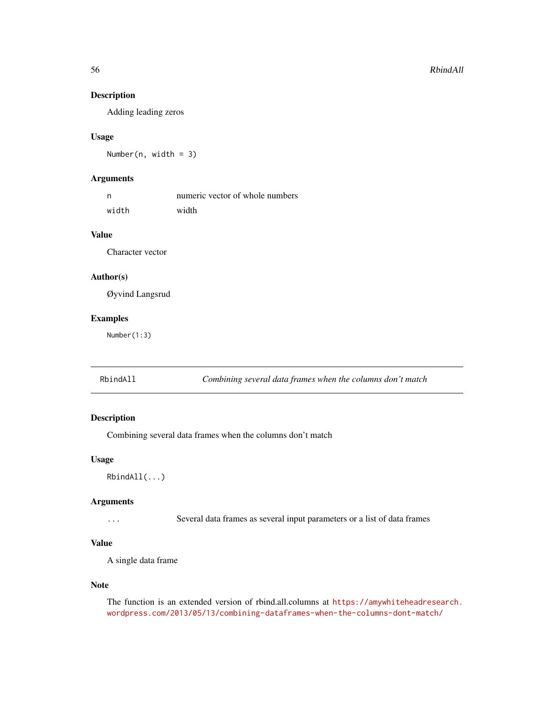### Description

Adding leading zeros

#### Usage

Number(n, width = 3)

### Arguments

| n     | numeric vector of whole numbers |
|-------|---------------------------------|
| width | width                           |

### Value

Character vector

#### Author(s)

Øyvind Langsrud

### Examples

Number(1:3)

<span id="page-55-1"></span>RbindAll *Combining several data frames when the columns don't match*

### Description

Combining several data frames when the columns don't match

#### Usage

```
RbindAll(...)
```
#### Arguments

... Several data frames as several input parameters or a list of data frames

### Value

A single data frame

#### Note

The function is an extended version of rbind.all.columns at [https://amywhiteheadresearch.](https://amywhiteheadresearch.wordpress.com/2013/05/13/combining-dataframes-when-the-columns-dont-match/) [wordpress.com/2013/05/13/combining-dataframes-when-the-columns-dont-match/](https://amywhiteheadresearch.wordpress.com/2013/05/13/combining-dataframes-when-the-columns-dont-match/)

<span id="page-55-0"></span>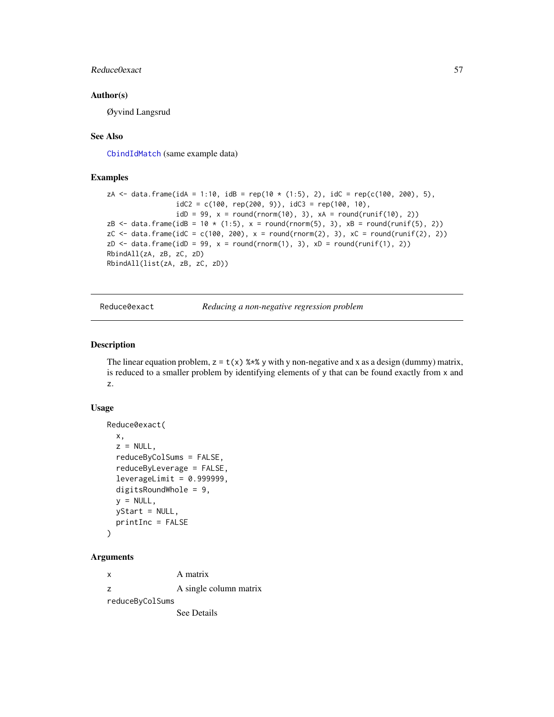### <span id="page-56-0"></span>Reduce0exact 57

#### Author(s)

Øyvind Langsrud

#### See Also

[CbindIdMatch](#page-6-1) (same example data)

#### Examples

```
zA <- data.frame(idA = 1:10, idB = rep(10 * (1:5), 2), idC = rep(c(100, 200), 5),
                 idC2 = c(100, rep(200, 9)), idC3 = rep(100, 10),idD = 99, x = round(rnorm(10), 3), xA = round(runif(10), 2))
zB <- data.frame(idB = 10 \times (1:5), x = round(rnorm(5), 3), xB = round(runif(5), 2))
zC \leftarrow data-frame(idC = c(100, 200), x = round(rnorm(2), 3), xC = round(runif(2), 2))zD \leq data.frame(idD = 99, x = round(rnorm(1), 3), xD = round(runif(1), 2))
RbindAll(zA, zB, zC, zD)
RbindAll(list(zA, zB, zC, zD))
```
<span id="page-56-1"></span>Reduce0exact *Reducing a non-negative regression problem*

### Description

The linear equation problem,  $z = t(x)$  %\*% y with y non-negative and x as a design (dummy) matrix, is reduced to a smaller problem by identifying elements of y that can be found exactly from x and z.

#### Usage

```
Reduce0exact(
 x,
  z = NULL,reduceByColSums = FALSE,
  reduceByLeverage = FALSE,
  leveragelimit = 0.999999,digitsRoundWhole = 9,
 y = NULL,yStart = NULL,
 printInc = FALSE
)
```
#### Arguments

x A matrix z A single column matrix reduceByColSums See Details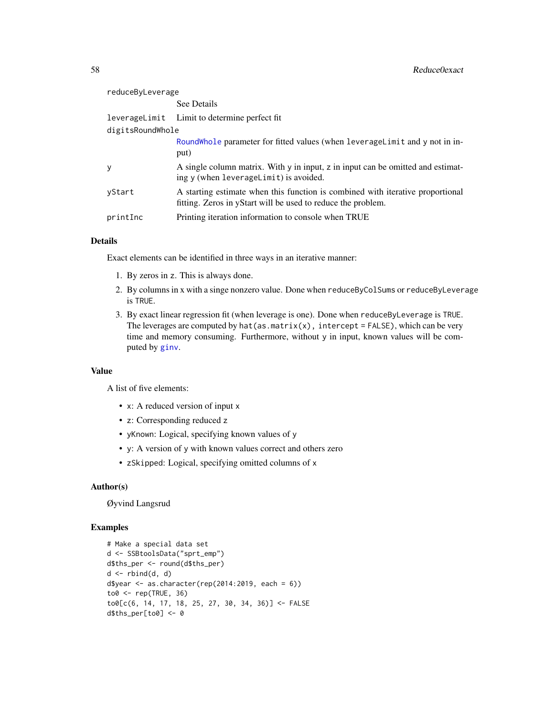<span id="page-57-0"></span>

| reduceByLeverage |                                                                                                                                                |
|------------------|------------------------------------------------------------------------------------------------------------------------------------------------|
|                  | See Details                                                                                                                                    |
|                  | leverageLimit Limit to determine perfect fit                                                                                                   |
| digitsRoundWhole |                                                                                                                                                |
|                  | RoundWhole parameter for fitted values (when leverageLimit and y not in in-<br>put)                                                            |
| y                | A single column matrix. With y in input, z in input can be omitted and estimat-<br>ing y (when leverageLimit) is avoided.                      |
| yStart           | A starting estimate when this function is combined with iterative proportional<br>fitting. Zeros in yStart will be used to reduce the problem. |
| printInc         | Printing iteration information to console when TRUE                                                                                            |

### Details

Exact elements can be identified in three ways in an iterative manner:

- 1. By zeros in z. This is always done.
- 2. By columns in x with a singe nonzero value. Done when reduceByColSums or reduceByLeverage is TRUE.
- 3. By exact linear regression fit (when leverage is one). Done when reduceByLeverage is TRUE. The leverages are computed by hat(as.matrix(x), intercept = FALSE), which can be very time and memory consuming. Furthermore, without y in input, known values will be computed by [ginv](#page-0-0).

#### Value

A list of five elements:

- x: A reduced version of input x
- z: Corresponding reduced z
- yKnown: Logical, specifying known values of y
- y: A version of y with known values correct and others zero
- zSkipped: Logical, specifying omitted columns of x

#### Author(s)

Øyvind Langsrud

```
# Make a special data set
d <- SSBtoolsData("sprt_emp")
d$ths_per <- round(d$ths_per)
d \leftarrow \text{rbind}(d, d)d$year \leq as.character(rep(2014:2019, each = 6))
to0 <- rep(TRUE, 36)
to0[c(6, 14, 17, 18, 25, 27, 30, 34, 36)] <- FALSE
d$ths_per[to0] <- 0
```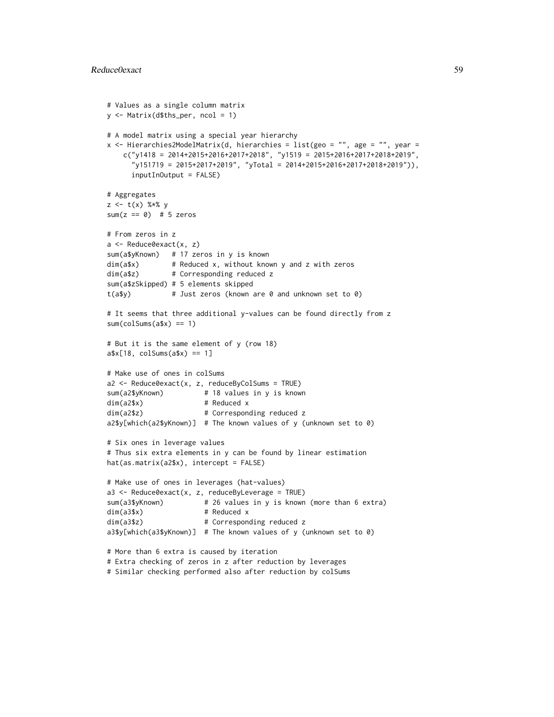```
# Values as a single column matrix
y <- Matrix(d$ths_per, ncol = 1)
# A model matrix using a special year hierarchy
x <- Hierarchies2ModelMatrix(d, hierarchies = list(geo = "", age = "", year =
   c("y1418 = 2014+2015+2016+2017+2018", "y1519 = 2015+2016+2017+2018+2019","y151719 = 2015+2017+2019", "yTotal = 2014+2015+2016+2017+2018+2019")),
     inputInOutput = FALSE)# Aggregates
z \leq t(x) %*% y
sum(z == 0) # 5 zeros
# From zeros in z
a <- Reduce0exact(x, z)
sum(a$yKnown) # 17 zeros in y is known
dim(a$x) # Reduced x, without known y and z with zeros
dim(a$z) # Corresponding reduced z
sum(a$zSkipped) # 5 elements skipped
t(a$y) # Just zeros (known are 0 and unknown set to 0)
# It seems that three additional y-values can be found directly from z
sum(colsums(a$x) == 1)# But it is the same element of y (row 18)
a$x[18, colSums(a$x) == 1]
# Make use of ones in colSums
a2 <- Reduce0exact(x, z, reduceByColSums = TRUE)
sum(a2$yKnown) # 18 values in y is known
dim(a2$x) # Reduced x
dim(a2$z) # Corresponding reduced z
a2$y[which(a2$yKnown)] # The known values of y (unknown set to 0)
# Six ones in leverage values
# Thus six extra elements in y can be found by linear estimation
hat(as.matrix(a2$x), intercept = FALSE)
# Make use of ones in leverages (hat-values)
a3 \leq Reduce0exact(x, z, reduceByLeverage = TRUE)
sum(a3$yKnown) # 26 values in y is known (more than 6 extra)
dim(a3$x) # Reduced x
dim(a3$z) # Corresponding reduced z
a3$y[which(a3$yKnown)] # The known values of y (unknown set to 0)
# More than 6 extra is caused by iteration
# Extra checking of zeros in z after reduction by leverages
```
# Similar checking performed also after reduction by colSums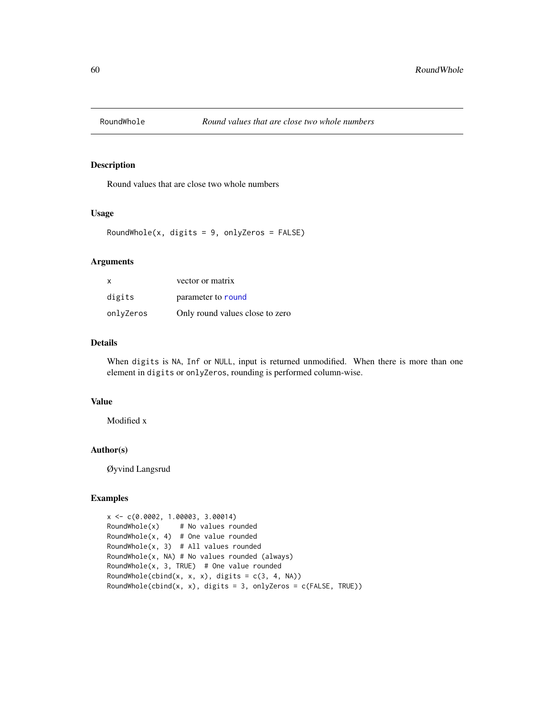<span id="page-59-1"></span><span id="page-59-0"></span>

### Description

Round values that are close two whole numbers

### Usage

RoundWhole(x, digits =  $9$ , onlyZeros =  $FALSE$ )

### Arguments

| x         | vector or matrix                |
|-----------|---------------------------------|
| digits    | parameter to round              |
| onlvZeros | Only round values close to zero |

### Details

When digits is NA, Inf or NULL, input is returned unmodified. When there is more than one element in digits or onlyZeros, rounding is performed column-wise.

#### Value

Modified x

#### Author(s)

Øyvind Langsrud

```
x <- c(0.0002, 1.00003, 3.00014)
RoundWhole(x) # No values rounded
RoundWhole(x, 4) # One value rounded
RoundWhole(x, 3) # All values rounded
RoundWhole(x, NA) # No values rounded (always)
RoundWhole(x, 3, TRUE) # One value rounded
RoundWhole(cbind(x, x, x), digits = c(3, 4, NA))
RoundWhole(cbind(x, x), digits = 3, onlyZeros = c(FALSE, TRUE))
```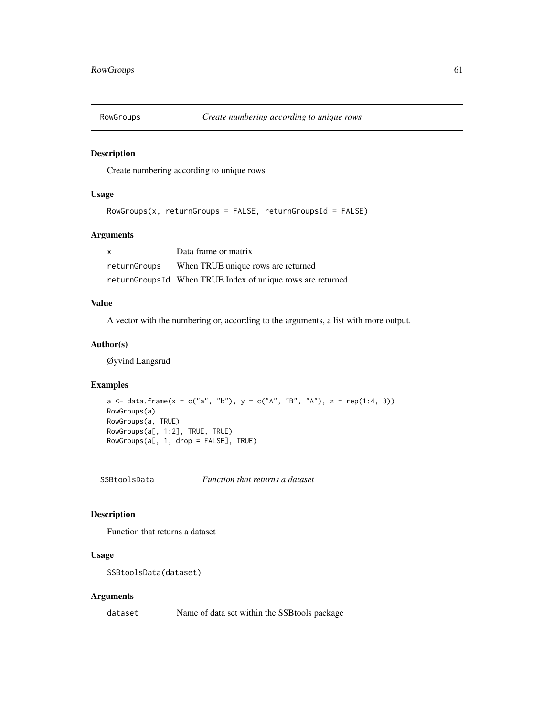<span id="page-60-0"></span>

#### Description

Create numbering according to unique rows

### Usage

```
RowGroups(x, returnGroups = FALSE, returnGroupsId = FALSE)
```
### Arguments

| X            | Data frame or matrix                                       |
|--------------|------------------------------------------------------------|
| returnGroups | When TRUE unique rows are returned                         |
|              | returnGroupsId When TRUE Index of unique rows are returned |

### Value

A vector with the numbering or, according to the arguments, a list with more output.

### Author(s)

Øyvind Langsrud

#### Examples

```
a <- data.frame(x = c("a", "b"), y = c("A", "B", "A"), z = rep(1:4, 3))
RowGroups(a)
RowGroups(a, TRUE)
RowGroups(a[, 1:2], TRUE, TRUE)
RowGroups(a[, 1, drop = FALSE], TRUE)
```
SSBtoolsData *Function that returns a dataset*

### Description

Function that returns a dataset

### Usage

```
SSBtoolsData(dataset)
```
#### Arguments

dataset Name of data set within the SSBtools package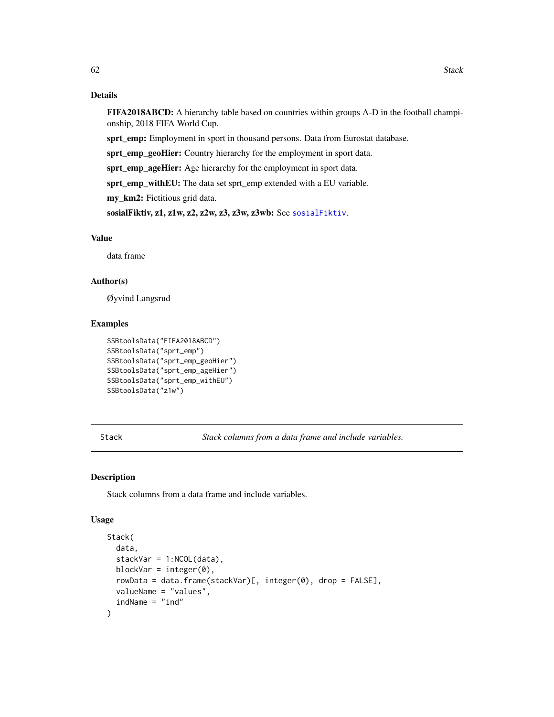### <span id="page-61-0"></span>Details

FIFA2018ABCD: A hierarchy table based on countries within groups A-D in the football championship, 2018 FIFA World Cup.

sprt\_emp: Employment in sport in thousand persons. Data from Eurostat database.

sprt\_emp\_geoHier: Country hierarchy for the employment in sport data.

sprt\_emp\_ageHier: Age hierarchy for the employment in sport data.

sprt\_emp\_withEU: The data set sprt\_emp extended with a EU variable.

my\_km2: Fictitious grid data.

sosialFiktiv, z1, z1w, z2, z2w, z3, z3w, z3wb: See [sosialFiktiv](#page-0-0).

### Value

data frame

### Author(s)

Øyvind Langsrud

#### Examples

```
SSBtoolsData("FIFA2018ABCD")
SSBtoolsData("sprt_emp")
SSBtoolsData("sprt_emp_geoHier")
SSBtoolsData("sprt_emp_ageHier")
SSBtoolsData("sprt_emp_withEU")
SSBtoolsData("z1w")
```
<span id="page-61-1"></span>Stack *Stack columns from a data frame and include variables.*

### Description

Stack columns from a data frame and include variables.

#### Usage

```
Stack(
  data,
  stackVar = 1:NCOL(data),
 blockVar = integer(0),
  rowData = data.frame(stackVar)[, integer(0), drop = FALSE],
  valueName = "values",
  indName = "ind")
```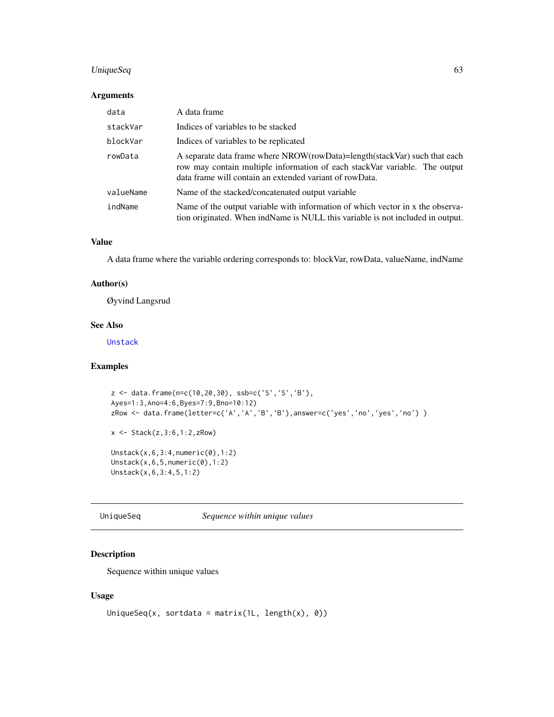### <span id="page-62-0"></span>UniqueSeq 63

#### Arguments

| data      | A data frame                                                                                                                                                                                                       |
|-----------|--------------------------------------------------------------------------------------------------------------------------------------------------------------------------------------------------------------------|
| stackVar  | Indices of variables to be stacked                                                                                                                                                                                 |
| blockVar  | Indices of variables to be replicated                                                                                                                                                                              |
| rowData   | A separate data frame where NROW(rowData)=length(stackVar) such that each<br>row may contain multiple information of each stackVar variable. The output<br>data frame will contain an extended variant of rowData. |
| valueName | Name of the stacked/concatenated output variable                                                                                                                                                                   |
| indName   | Name of the output variable with information of which vector in x the observa-<br>tion originated. When ind Name is NULL this variable is not included in output.                                                  |

### Value

A data frame where the variable ordering corresponds to: blockVar, rowData, valueName, indName

### Author(s)

Øyvind Langsrud

#### See Also

[Unstack](#page-63-1)

### Examples

```
z <- data.frame(n=c(10,20,30), ssb=c('S','S','B'),
Ayes=1:3,Ano=4:6,Byes=7:9,Bno=10:12)
zRow <- data.frame(letter=c('A','A','B','B'),answer=c('yes','no','yes','no') )
x <- Stack(z,3:6,1:2,zRow)
Unstack(x,6,3:4,numeric(0),1:2)
Unstack(x,6,5,numeric(0),1:2)
Unstack(x,6,3:4,5,1:2)
```
UniqueSeq *Sequence within unique values*

### Description

Sequence within unique values

### Usage

```
UniqueSeq(x, sortdata = matrix(1L, length(x), 0))
```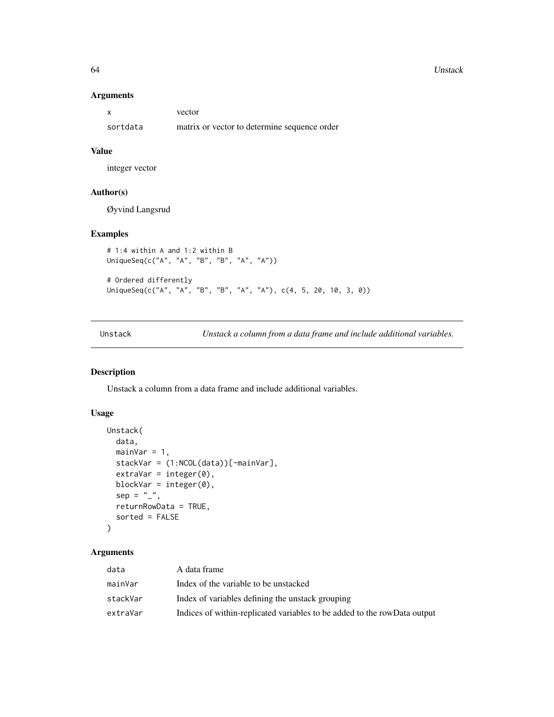#### 64 Unstack

#### Arguments

|          | vector                                       |
|----------|----------------------------------------------|
| sortdata | matrix or vector to determine sequence order |

### Value

integer vector

### Author(s)

Øyvind Langsrud

### Examples

```
# 1:4 within A and 1:2 within B
UniqueSeq(c("A", "A", "B", "B", "A", "A"))
# Ordered differently
UniqueSeq(c("A", "A", "B", "B", "A", "A"), c(4, 5, 20, 10, 3, 0))
```
<span id="page-63-1"></span>Unstack *Unstack a column from a data frame and include additional variables.*

### Description

Unstack a column from a data frame and include additional variables.

### Usage

```
Unstack(
  data,
  mainVar = 1,
  stackVar = (1:NCOL(data))[-mainVar],
  extraVar = integer(0),
  blockVar = integer(0),
  sep = "",
  returnRowData = TRUE,
  sorted = FALSE
)
```
### Arguments

| data     | A data frame                                                             |
|----------|--------------------------------------------------------------------------|
| mainVar  | Index of the variable to be unstacked                                    |
| stackVar | Index of variables defining the unstack grouping                         |
| extraVar | Indices of within-replicated variables to be added to the rowData output |

<span id="page-63-0"></span>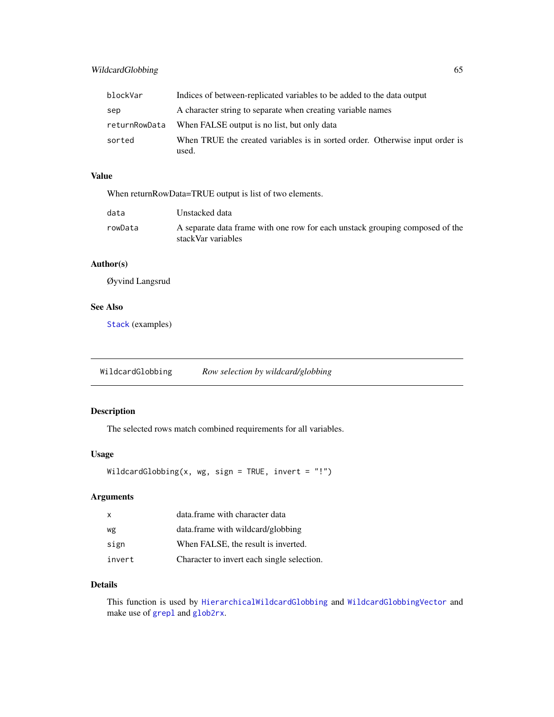<span id="page-64-0"></span>

| blockVar      | Indices of between-replicated variables to be added to the data output                |
|---------------|---------------------------------------------------------------------------------------|
| sep           | A character string to separate when creating variable names                           |
| returnRowData | When FALSE output is no list, but only data                                           |
| sorted        | When TRUE the created variables is in sorted order. Otherwise input order is<br>used. |

### Value

When returnRowData=TRUE output is list of two elements.

| data    | Unstacked data                                                                                     |
|---------|----------------------------------------------------------------------------------------------------|
| rowData | A separate data frame with one row for each unstack grouping composed of the<br>stackVar variables |

### Author(s)

Øyvind Langsrud

### See Also

[Stack](#page-61-1) (examples)

<span id="page-64-1"></span>WildcardGlobbing *Row selection by wildcard/globbing*

### Description

The selected rows match combined requirements for all variables.

### Usage

```
WildcardGlobbing(x, wg, sign = TRUE, invert = "!")
```
### Arguments

| $\mathbf{x}$ | data.frame with character data             |
|--------------|--------------------------------------------|
| wg           | data.frame with wildcard/globbing          |
| sign         | When FALSE, the result is inverted.        |
| invert       | Character to invert each single selection. |

### Details

This function is used by [HierarchicalWildcardGlobbing](#page-28-1) and [WildcardGlobbingVector](#page-65-1) and make use of [grepl](#page-0-0) and [glob2rx](#page-0-0).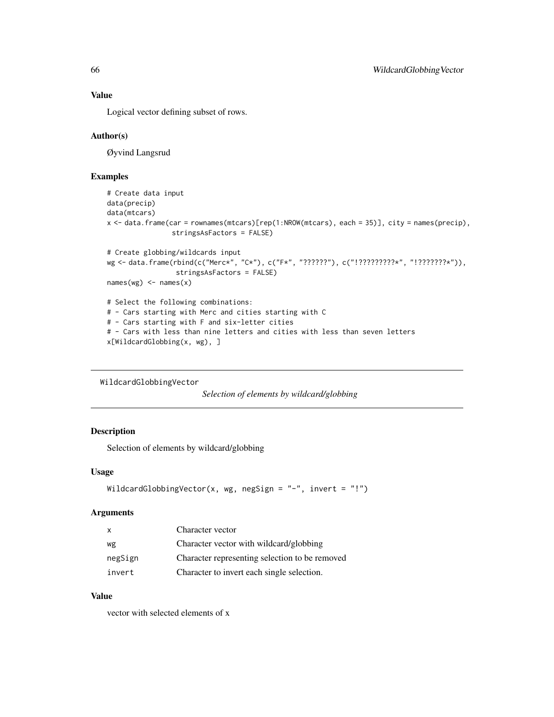#### Value

Logical vector defining subset of rows.

### Author(s)

Øyvind Langsrud

### Examples

```
# Create data input
data(precip)
data(mtcars)
x <- data.frame(car = rownames(mtcars)[rep(1:NROW(mtcars), each = 35)], city = names(precip),
                stringsAsFactors = FALSE)
# Create globbing/wildcards input
wg <- data.frame(rbind(c("Merc*", "C*"), c("F*", "??????"), c("!?????????*", "!???????*")),
                 stringsAsFactors = FALSE)
names(wg) \leftarrow names(x)# Select the following combinations:
# - Cars starting with Merc and cities starting with C
# - Cars starting with F and six-letter cities
# - Cars with less than nine letters and cities with less than seven letters
x[WildcardGlobbing(x, wg), ]
```

```
WildcardGlobbingVector
```

```
Selection of elements by wildcard/globbing
```
### Description

Selection of elements by wildcard/globbing

#### Usage

```
WildcardGlobbingVector(x, wg, negSign = "-", invert = "!")
```
#### Arguments

| $\mathsf{X}$ | Character vector                               |
|--------------|------------------------------------------------|
| wg           | Character vector with wildcard/globbing        |
| negSign      | Character representing selection to be removed |
| invert       | Character to invert each single selection.     |

### Value

vector with selected elements of x

<span id="page-65-0"></span>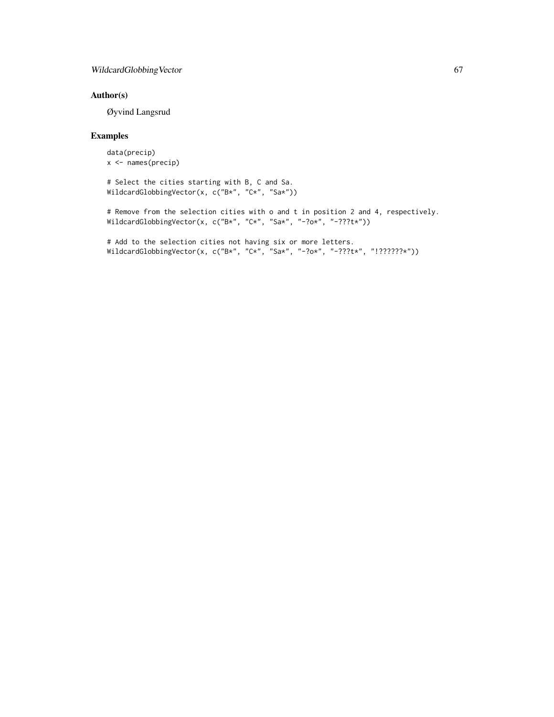### WildcardGlobbingVector 67

### Author(s)

Øyvind Langsrud

```
data(precip)
x <- names(precip)
```

```
# Select the cities starting with B, C and Sa.
WildcardGlobbingVector(x, c("B*", "C*", "Sa*"))
```

```
# Remove from the selection cities with o and t in position 2 and 4, respectively.
WildcardGlobbingVector(x, c("B*", "C*", "Sa*", "-?o*", "-???t*"))
```

```
# Add to the selection cities not having six or more letters.
WildcardGlobbingVector(x, c("B*", "C*", "Sa*", "-?o*", "-???t*", "!??????*"))
```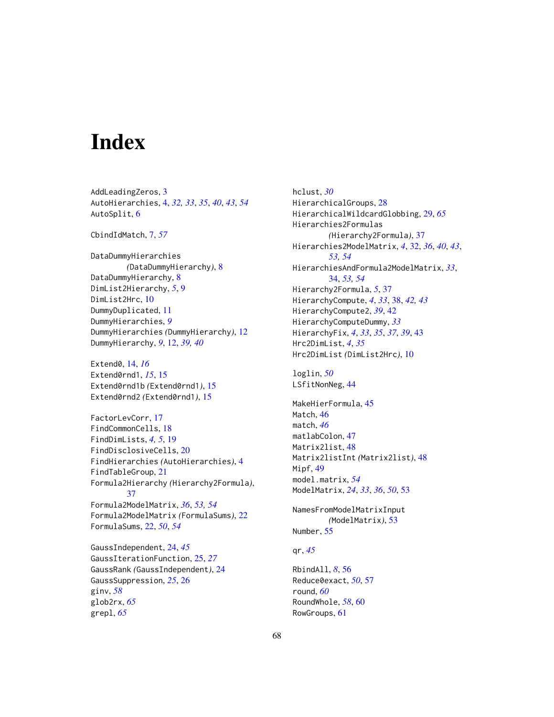# <span id="page-67-0"></span>**Index**

AddLeadingZeros, [3](#page-2-0) AutoHierarchies, [4,](#page-3-0) *[32,](#page-31-0) [33](#page-32-0)*, *[35](#page-34-0)*, *[40](#page-39-0)*, *[43](#page-42-0)*, *[54](#page-53-0)* AutoSplit, [6](#page-5-0)

CbindIdMatch, [7,](#page-6-0) *[57](#page-56-0)*

DataDummyHierarchies *(*DataDummyHierarchy*)*, [8](#page-7-0) DataDummyHierarchy, [8](#page-7-0) DimList2Hierarchy, *[5](#page-4-0)*, [9](#page-8-0) DimList2Hrc, [10](#page-9-0) DummyDuplicated, [11](#page-10-0) DummyHierarchies, *[9](#page-8-0)* DummyHierarchies *(*DummyHierarchy*)*, [12](#page-11-0) DummyHierarchy, *[9](#page-8-0)*, [12,](#page-11-0) *[39,](#page-38-0) [40](#page-39-0)*

Extend0, [14,](#page-13-0) *[16](#page-15-0)* Extend0rnd1, *[15](#page-14-0)*, [15](#page-14-0) Extend0rnd1b *(*Extend0rnd1*)*, [15](#page-14-0) Extend0rnd2 *(*Extend0rnd1*)*, [15](#page-14-0)

FactorLevCorr, [17](#page-16-0) FindCommonCells, [18](#page-17-0) FindDimLists, *[4,](#page-3-0) [5](#page-4-0)*, [19](#page-18-0) FindDisclosiveCells, [20](#page-19-0) FindHierarchies *(*AutoHierarchies*)*, [4](#page-3-0) FindTableGroup, [21](#page-20-0) Formula2Hierarchy *(*Hierarchy2Formula*)*, [37](#page-36-0)

Formula2ModelMatrix, *[36](#page-35-0)*, *[53,](#page-52-0) [54](#page-53-0)* Formula2ModelMatrix *(*FormulaSums*)*, [22](#page-21-0) FormulaSums, [22,](#page-21-0) *[50](#page-49-0)*, *[54](#page-53-0)*

GaussIndependent, [24,](#page-23-0) *[45](#page-44-0)* GaussIterationFunction, [25,](#page-24-0) *[27](#page-26-0)* GaussRank *(*GaussIndependent*)*, [24](#page-23-0) GaussSuppression, *[25](#page-24-0)*, [26](#page-25-0) ginv, *[58](#page-57-0)* glob2rx, *[65](#page-64-0)* grepl, *[65](#page-64-0)*

hclust, *[30](#page-29-0)* HierarchicalGroups, [28](#page-27-0) HierarchicalWildcardGlobbing, [29,](#page-28-0) *[65](#page-64-0)* Hierarchies2Formulas *(*Hierarchy2Formula*)*, [37](#page-36-0) Hierarchies2ModelMatrix, *[4](#page-3-0)*, [32,](#page-31-0) *[36](#page-35-0)*, *[40](#page-39-0)*, *[43](#page-42-0)*, *[53,](#page-52-0) [54](#page-53-0)* HierarchiesAndFormula2ModelMatrix, *[33](#page-32-0)*, [34,](#page-33-0) *[53,](#page-52-0) [54](#page-53-0)* Hierarchy2Formula, *[5](#page-4-0)*, [37](#page-36-0) HierarchyCompute, *[4](#page-3-0)*, *[33](#page-32-0)*, [38,](#page-37-0) *[42,](#page-41-0) [43](#page-42-0)* HierarchyCompute2, *[39](#page-38-0)*, [42](#page-41-0) HierarchyComputeDummy, *[33](#page-32-0)* HierarchyFix, *[4](#page-3-0)*, *[33](#page-32-0)*, *[35](#page-34-0)*, *[37](#page-36-0)*, *[39](#page-38-0)*, [43](#page-42-0) Hrc2DimList, *[4](#page-3-0)*, *[35](#page-34-0)* Hrc2DimList *(*DimList2Hrc*)*, [10](#page-9-0)

loglin, *[50](#page-49-0)* LSfitNonNeg, [44](#page-43-0)

MakeHierFormula, [45](#page-44-0) Match, [46](#page-45-0) match, *[46](#page-45-0)* matlabColon, [47](#page-46-0) Matrix2list, [48](#page-47-0) Matrix2listInt *(*Matrix2list*)*, [48](#page-47-0) Mipf, [49](#page-48-0) model.matrix, *[54](#page-53-0)* ModelMatrix, *[24](#page-23-0)*, *[33](#page-32-0)*, *[36](#page-35-0)*, *[50](#page-49-0)*, [53](#page-52-0)

NamesFromModelMatrixInput *(*ModelMatrix*)*, [53](#page-52-0) Number, [55](#page-54-0)

### qr, *[45](#page-44-0)*

RbindAll, *[8](#page-7-0)*, [56](#page-55-0) Reduce0exact, *[50](#page-49-0)*, [57](#page-56-0) round, *[60](#page-59-0)* RoundWhole, *[58](#page-57-0)*, [60](#page-59-0) RowGroups, [61](#page-60-0)